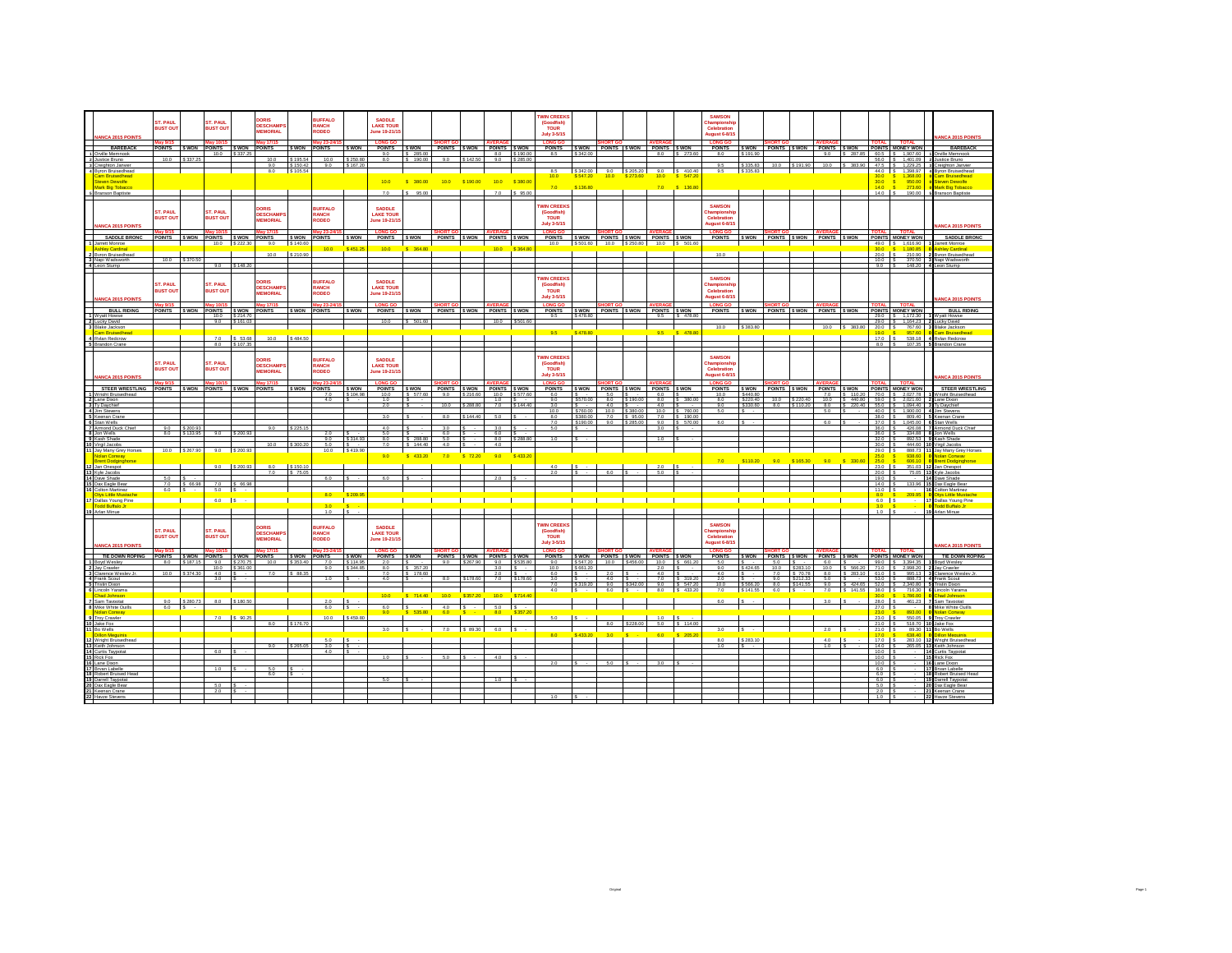|                                              | ST. PAUL<br><b>BUST OUT</b> |                    | ST. PAUL<br><b>BUST OUT</b>    |                                                                           | <b>DORIS</b><br><b>DESCHAMP:</b><br><b><i>AEMORIAL</i></b> |                       | <b>BUFFALO</b><br>RANCH<br><b>RODEO</b> |                      | <b>SADDLE</b><br><b>LAKE TOUR</b><br>une 19-21/1 |                       |                                     |                  |                      |                          | <b>WIN CREEKS</b><br>(Goodfish)<br>TOUR                            |                                     |                  |                                      |                    |                                       | <b>SAMSON</b><br>hamnionsh<br>Celebration |                         |             |                            |                                        |               |                                                                     |                                                             |                                               |
|----------------------------------------------|-----------------------------|--------------------|--------------------------------|---------------------------------------------------------------------------|------------------------------------------------------------|-----------------------|-----------------------------------------|----------------------|--------------------------------------------------|-----------------------|-------------------------------------|------------------|----------------------|--------------------------|--------------------------------------------------------------------|-------------------------------------|------------------|--------------------------------------|--------------------|---------------------------------------|-------------------------------------------|-------------------------|-------------|----------------------------|----------------------------------------|---------------|---------------------------------------------------------------------|-------------------------------------------------------------|-----------------------------------------------|
| <b>ANCA 2015 POINTS</b>                      |                             |                    |                                |                                                                           |                                                            |                       |                                         |                      |                                                  |                       |                                     |                  |                      |                          | <b>July 3-5/15</b>                                                 |                                     |                  |                                      |                    |                                       | ugust 6-8/15                              |                         |             |                            |                                        |               |                                                                     |                                                             | <b>ANCA 2015 POINT</b>                        |
| <b>BAREBACK</b>                              |                             |                    | POINTS \$ WON POINTS \$ WON    |                                                                           | w 17/1<br><b>POINTS</b>                                    | \$ WON                | <b>POINTS</b>                           | S WON                | POINTS \$ WON                                    |                       | POINTS \$WON POINTS \$WON           |                  |                      |                          | <b>I ONG O</b><br>POINTS \$WON POINTS \$WON POINTS \$WON           |                                     |                  |                                      |                    |                                       | <b>POINTS</b>                             |                         |             |                            |                                        |               |                                                                     | SWON POINTS SWON POINTS SWON POINTS MONEY WON               | BAREBACK                                      |
| 1 Orville Memnook<br>2 Justice Bruno         | 10.0                        | \$ 337.2           |                                | $100$ \$ 337.25                                                           | 10.0                                                       | \$ 195.54             | 10.0                                    | \$250.80             | 90<br>80                                         | 285.00<br>\$190.00    | 90                                  | \$142.50         | 90                   | 8.0 \$190.00<br>\$285.00 | 85                                                                 | \$342.00                            |                  |                                      |                    | 8.0 S 273.60                          | 80                                        | \$191.90                |             |                            |                                        |               |                                                                     | 90 \$ 287.85 605 \$ 1.907.60<br>560 S 140109                | 1 Orville Memnook<br>2 Justice Baino          |
| Creighton Janvier                            |                             |                    |                                |                                                                           | 9.0<br>8.0                                                 | \$150.42<br>\$ 105.54 | 9.0                                     | 167.2                |                                                  |                       |                                     |                  |                      |                          | 8.5                                                                | S 342.00                            |                  |                                      |                    |                                       | 9.5<br>9.5                                | \$335.83<br>S 335.83    | 10.0        | \$191.90                   | 10.0                                   | \$ 383.90     | 47.5                                                                | \$ 1,229.2                                                  | 3 Creighton Janvier                           |
| 4 Byron Bruisedhead<br>am Rnjisedhead        |                             |                    |                                |                                                                           |                                                            |                       |                                         |                      |                                                  |                       |                                     |                  |                      |                          | 10.0                                                               | \$547.20                            | 10.0             | $9.0$ $\sqrt{$}3.205.20$<br>\$273.60 | 10.0               | $9.0$ $\frac{5}{5}$ 410.40<br>S 547.2 |                                           |                         |             |                            |                                        |               | 30.0                                                                | 44.0   \$ 1,398.97<br>1.368.0<br>S.                         | 4 Byron Bruisedhead<br>am Rruisedhead         |
| Steven Dewolfe<br>Mark Rig Tobacco           |                             |                    |                                |                                                                           |                                                            |                       |                                         |                      | 100                                              | \$ 380.00             | 10.0                                | \$190.00         | 10.0                 | \$380.00                 | 7.0                                                                | \$136.80                            |                  |                                      | 7.0                | $S = 136.80$                          |                                           |                         |             |                            |                                        |               | 30.0<br>140                                                         | $\mathbf{s}$<br>950.00<br>273.60                            | Steven Dewolfe<br><b>Mark Rig Tobacco</b>     |
| <b>Branson Baptiste</b>                      |                             |                    |                                |                                                                           |                                                            |                       |                                         |                      | 7.0                                              | $S = 95.00$           |                                     |                  | 7.0                  | \$95.00                  |                                                                    |                                     |                  |                                      |                    |                                       |                                           |                         |             |                            |                                        |               | $14.0$ $\overline{\phantom{0}}$                                     | 190.00                                                      | 5 Branson Baptiste                            |
|                                              |                             |                    |                                |                                                                           |                                                            |                       |                                         |                      |                                                  |                       |                                     |                  |                      |                          | <b>WIN CREEKS</b>                                                  |                                     |                  |                                      |                    |                                       | <b>SAMSON</b>                             |                         |             |                            |                                        |               |                                                                     |                                                             |                                               |
|                                              | ST. PAUL                    |                    | ST. PAUL                       |                                                                           | DORIS<br><b>DESCHAMPS</b>                                  |                       | <b>BUFFALO</b><br><b>RANCH</b>          |                      | SADDLE<br><b>LAKE TOUR</b>                       |                       |                                     |                  |                      |                          | (Goodfish)<br>TOUR                                                 |                                     |                  |                                      |                    |                                       | <b>ampionsh</b>                           |                         |             |                            |                                        |               |                                                                     |                                                             |                                               |
| <b>ANCA 2015 POINTS</b>                      | <b>BUST OUT</b>             |                    | <b>BUST OUT</b>                |                                                                           | <b>EMORIAL</b>                                             |                       | OBEO                                    |                      | une 19-21/15                                     |                       |                                     |                  |                      |                          | <b>July 3-5/15</b>                                                 |                                     |                  |                                      |                    |                                       | Celebration<br>ugust 6-8/15               |                         |             |                            |                                        |               |                                                                     |                                                             | <b>IANCA 2015 POINTS</b>                      |
|                                              | v 9/15                      |                    | av 10/1                        |                                                                           | av 17/15                                                   |                       | av 23-24                                |                      | <b>LONG GO</b>                                   |                       |                                     |                  |                      |                          | <b>LONG GO</b>                                                     |                                     |                  |                                      |                    |                                       | <b>LONG GO</b>                            |                         |             |                            |                                        |               |                                                                     | <b>OTAL</b> TOTAL                                           |                                               |
| <b>SADDLE BRONC</b><br>arrett Monroe         |                             |                    | POINTS SWON POINTS SWON        | 10.0 \$222.30                                                             | <b>POINTS</b><br>9.0                                       | \$ WON<br>\$140.60    | <b>POINTS</b>                           | S WON                | <b>POINTS</b>                                    | <b>SWON</b>           | POINTS SWON POINTS SWON             | $\mathbf{I}$     |                      |                          | POINTS SWON POINTS SWON POINTS SWON<br>10.0 \$501.60 10.0 \$250.80 |                                     |                  |                                      |                    | 10.0 S 501.60                         | <b>POINTS</b>                             |                         |             |                            | SWON POINTS SWON POINTS SWON           |               |                                                                     | POINTS MONEY WON<br>49.0 S 1.616.90                         | <b>SADDLE BRON</b><br>Jarrett Monroe          |
| shley Cardinal<br><b>Byron Bruisedhead</b>   |                             |                    |                                |                                                                           | 10.0                                                       | \$210.90              | 100                                     | \$451.25             | 100                                              | \$38480               |                                     |                  | 100                  | <b>CISRA R</b>           |                                                                    |                                     |                  |                                      |                    |                                       | 10.0                                      |                         |             |                            |                                        |               | 30.0                                                                | \$ 1.180.85<br>20.0 \$ 210.90                               | <b>Ashley Cardinal</b><br>2 Byron Bruisedhead |
| 3 Napi Wadsworth                             | 10.0                        | \$370.5            |                                |                                                                           |                                                            |                       |                                         |                      |                                                  |                       |                                     |                  |                      |                          |                                                                    |                                     |                  |                                      |                    |                                       |                                           |                         |             |                            |                                        |               |                                                                     | 10.0 S 370.50                                               | 3 Napi Wadsworth                              |
| 4 Leon Stump                                 |                             |                    |                                | $9.0$ \$148.20                                                            |                                                            |                       |                                         |                      |                                                  |                       |                                     |                  |                      |                          |                                                                    |                                     |                  |                                      |                    |                                       |                                           |                         |             |                            |                                        |               |                                                                     | 9.0 S  148.20 4 Leon Stume                                  |                                               |
|                                              |                             |                    |                                |                                                                           | DORIS                                                      |                       | <b>BUFFALO</b>                          |                      | <b>SADDLE</b>                                    |                       |                                     |                  |                      |                          | <b>WIN CREEKS</b>                                                  |                                     |                  |                                      |                    |                                       | <b>SAMSON</b>                             |                         |             |                            |                                        |               |                                                                     |                                                             |                                               |
|                                              | ST. PAUL<br><b>RUST OUT</b> |                    | ST. PAUL<br><b>BUST OUT</b>    |                                                                           | <b>DESCHAMP</b>                                            |                       | <b>ANCH</b>                             |                      | <b>LAKE TOUR</b>                                 |                       |                                     |                  |                      |                          | (Goodfish)<br>TOUR                                                 |                                     |                  |                                      |                    |                                       | hamnionsh<br>Celebratio                   |                         |             |                            |                                        |               |                                                                     |                                                             |                                               |
| MCA 2015 POINTS                              |                             |                    |                                |                                                                           | <b>IEMORIAL</b>                                            |                       | ODEO:                                   |                      | une 19-21/1                                      |                       |                                     |                  |                      |                          | July 3-5/15                                                        |                                     |                  |                                      |                    |                                       | ugust 6-8/15                              |                         |             |                            |                                        |               |                                                                     |                                                             | ANCA 2015 POINT                               |
| <b>BULL RIDING</b>                           |                             |                    | POINTS SWON POINTS SWON POINTS |                                                                           |                                                            |                       | SWON POINTS                             | S WON                | POINTS SWON POINTS SWON POINTS SWON              |                       |                                     |                  |                      |                          | POINTS SWON POINTS SWON POINTS SWON                                |                                     |                  |                                      |                    |                                       | <b>POINTS</b>                             |                         |             |                            |                                        |               |                                                                     | SWON POINTS SWON POINTS SWON POINTS MONEY WON               | <b>BULL RIDING</b>                            |
| 1 Wyatt Howse<br>Lucky David                 |                             |                    |                                | $\begin{array}{c c} 10.0 & S.214.70 \\ \hline 9.0 & S.161.03 \end{array}$ |                                                            |                       |                                         |                      | 10.0                                             | \$501.60              |                                     |                  | 10.0                 | \$501.60                 | 9.5                                                                | S 478 80                            |                  |                                      |                    | 95 \$ 478 80                          |                                           |                         |             |                            |                                        |               |                                                                     | 29.0 \ \ \$ 1.172.30<br>29.0 \$ 1,164.23                    | 1 Wystt Howse<br>2 Lucky David                |
| 3 Blake Jackson                              |                             |                    |                                |                                                                           |                                                            |                       |                                         |                      |                                                  |                       |                                     |                  |                      |                          |                                                                    |                                     |                  |                                      |                    |                                       | 10.0                                      | S 383.80                |             |                            |                                        | 10.0 S 383.80 |                                                                     | 20.0 S 767.60                                               | 3 Blake Jackson                               |
| am Bruisedhea<br><b>4 Rvian Redcrow</b>      |                             |                    |                                | 7.0 \$ 53.68                                                              | 10.0                                                       | S 484.50              |                                         |                      |                                                  |                       |                                     |                  |                      |                          | 9.5                                                                |                                     |                  |                                      |                    |                                       |                                           |                         |             |                            |                                        |               |                                                                     | 19.0 \$ 957.60<br>17.0 S 538.18                             | Cam Bruisedhead<br>4 Rvlan Redcrow            |
| 5 Brandon Crane                              |                             |                    |                                | 8.0 \$107.35                                                              |                                                            |                       |                                         |                      |                                                  |                       |                                     |                  |                      |                          |                                                                    |                                     |                  |                                      |                    |                                       |                                           |                         |             |                            |                                        |               |                                                                     |                                                             | 8.0 S 107.35 5 Brandon Crane                  |
|                                              |                             |                    |                                |                                                                           | <b>DORIS</b>                                               |                       | <b>BUFFALO</b>                          |                      | SADDLE                                           |                       |                                     |                  |                      |                          | <b>WIN CREEK</b>                                                   |                                     |                  |                                      |                    |                                       | <b>SAMSON</b>                             |                         |             |                            |                                        |               |                                                                     |                                                             |                                               |
|                                              | ST. PAUL<br><b>BUST OUT</b> |                    | ST. PAUL<br><b>BUST OUT</b>    |                                                                           | <b>DESCHAMP</b>                                            |                       | <b>RANCH</b>                            |                      | <b>LAKE TOUR</b>                                 |                       |                                     |                  |                      |                          | (Goodfish)<br><b>TOUR</b>                                          |                                     |                  |                                      |                    |                                       | hampionsh<br>Celebratio                   |                         |             |                            |                                        |               |                                                                     |                                                             |                                               |
| <b>ANCA 2015 POINTS</b>                      |                             |                    |                                |                                                                           | <b>MEMORIAL</b>                                            |                       | <b>RODEO</b>                            |                      | lune 19-21/15                                    |                       |                                     |                  |                      |                          | July 3-5/15                                                        |                                     |                  |                                      |                    |                                       | gust 6-8/15                               |                         |             |                            |                                        |               |                                                                     |                                                             | <b>ANCA 2015 POINT</b>                        |
|                                              | May 9/15                    |                    | lav 10/15                      |                                                                           | lav 17/15                                                  |                       | May 23-24/1                             |                      | <b>LONG GO</b>                                   |                       |                                     |                  | <b>AVERAG</b>        |                          | <b>LONG GO</b>                                                     |                                     | HORT (           |                                      | <b>VERAGI</b>      |                                       | <b>LONG GO</b>                            |                         |             |                            | <b>AVERAG</b>                          |               | ΓΩΤΑΙ                                                               | <b>TOTAL</b>                                                |                                               |
| <b>STEER WRESTLING</b><br>Vright Bruisedhead |                             |                    | POINTS SWON POINTS SWON POINTS |                                                                           |                                                            | \$ WON                | POINTS<br>7.0                           | S WON<br>104.98      | <b>POINTS</b><br>10.0                            | \$ 577.60             | SWON POINTS SWON POINTS SWON<br>9.0 | 216.60           |                      | 10.0 \$577.60            | POINTS<br>6.0                                                      |                                     | SWON POINTS SWON |                                      | POINTS SWON<br>6.0 |                                       | <b>POINTS</b><br>10.0                     | <b>SWON</b><br>\$440.80 |             |                            | 7.0                                    | S 110.20      |                                                                     | POINTS SWON POINTS SWON POINTS MONEY WON<br>70.0 S 2.027.78 | STEER WRESTLING<br>1 Wright Bruisedh          |
| Lane Dixon<br>3 Tv Davchief                  |                             |                    |                                |                                                                           |                                                            |                       | 40                                      |                      | 10<br>2.0                                        |                       | 10.0                                | \$288.80         | 10                   | 7.0 \$144.40             | 90<br>3.0                                                          | \$570.00                            | 80<br>4.0        | \$190.00                             | 80<br>4.0          | \$ 3800                               | 80<br>9.0                                 | \$220.40<br>\$330.60    | 100<br>8.0  | \$22040<br>\$110.20        | $100 -$                                | 8.0 S 220.40  |                                                                     | S 440.80 59.0 S 2.021.60<br>55.0 S 1.094.40                 | 2 Lane Dixon<br>3 Tv Davchief                 |
| 4 Jim Stevens                                |                             |                    |                                |                                                                           |                                                            |                       |                                         |                      | 30                                               |                       | 80                                  | 144 40           | 5.0                  |                          | 10.0                                                               | \$760.00                            | 10.0             | \$380.00                             |                    | 10.0 \$ 760.00                        | 5.0                                       |                         |             |                            | 5.0                                    |               |                                                                     | $400$ $\frac{1}{3}$ 1.900.00                                | 4 Jim Stevens                                 |
| 5 Keenan Crane<br>6 Stan Wells               |                             |                    |                                |                                                                           |                                                            |                       |                                         |                      |                                                  |                       |                                     |                  |                      |                          | 8.0<br>7.0                                                         | \$380.00<br>\$190.00                | 7.0<br>9.0       | \$ 95.00                             | 7.0<br>9.0         | \$190.00<br>\$570.0                   | 6.0                                       |                         |             |                            | 6.0                                    |               |                                                                     | 38.0 S 809.40<br>37.0 S 1.045.0                             | 5 Keenan Cran<br>Stan Wells                   |
| 7 Armond Duck Chi<br>8 Jon Wells             | 9.0<br>8.0                  | \$200.<br>S 133.95 |                                | 9.0 \$200.93                                                              | 9.0                                                        | \$22!                 | 2.0                                     |                      | 4.0<br>50                                        |                       | 6.0                                 |                  | 3.0<br>$6.0$ S       |                          | 5.0                                                                |                                     |                  |                                      | 3.0                |                                       |                                           |                         |             |                            |                                        |               | 36.0 S<br>$36.0$ $\overline{\phantom{0}}$ S                         | 426.08<br>334.88                                            | Armond Duck CI<br>8 Jon Wells                 |
| 9 Kash Shade                                 |                             |                    |                                |                                                                           | 10.0                                                       | \$300.20              | 90<br>5.0                               | S 314.9              | 8.0<br>70                                        | \$ 288.80<br>S 144.40 | 5.0<br>4.0                          |                  | 4.0                  | 8.0 \$288.80             | 10                                                                 |                                     |                  |                                      | 10                 |                                       |                                           |                         |             |                            |                                        |               | $320$ $\overline{\phantom{1}}$ $\overline{\phantom{1}}$             | 892.53                                                      | 9 Kash Shade                                  |
| 10 Virgil Jacobs<br>Jay Many Grey Horses     |                             | 10.0 \$267.90      |                                | $9.0$ \$ 200.93                                                           |                                                            |                       | 10.0 S 419.90                           |                      |                                                  |                       |                                     |                  |                      |                          |                                                                    |                                     |                  |                                      |                    |                                       |                                           |                         |             |                            |                                        |               | $30.0$ IS<br>$29.0$ $\sqrt{S}$                                      | 444.60<br>888.73                                            | Virgil Jacobs<br>1 Jay Many Grey Horser       |
| olan Conway<br><b>Brent Dodginghorse</b>     |                             |                    |                                |                                                                           |                                                            |                       |                                         |                      | 0 <sub>0</sub>                                   | 433.20                | 70                                  |                  | 9.0                  |                          |                                                                    |                                     |                  |                                      |                    |                                       | 7.0                                       | \$110.20                | 9.0         | \$165.30                   | 9.0                                    | \$ 330.60     | 25.0<br>25.0                                                        | 938.6<br>606.10                                             | Nolan Conway<br><b>Brent Dodgir</b>           |
| Jan Onespo<br>13 Kvie Jacobs                 |                             |                    | 90                             | \$200.93                                                                  | 7.0                                                        | \$150.1<br>\$75.05    |                                         |                      |                                                  |                       |                                     |                  |                      |                          | 2.0                                                                |                                     | 60               |                                      | $\frac{2.0}{6.0}$  |                                       |                                           |                         |             |                            |                                        |               | 23.0<br>20.0 S                                                      | 351.03                                                      | Jan Onespo<br>75.05 13 Kvle Jacobs            |
| 4 Days Shade                                 | 6.0                         |                    |                                |                                                                           |                                                            |                       | 60                                      |                      |                                                  |                       |                                     |                  |                      |                          |                                                                    |                                     |                  |                                      |                    |                                       |                                           |                         |             |                            |                                        |               | $190$ $\overline{\text{S}}$                                         |                                                             | 14 Days Shade                                 |
| Dax Eagle Bear<br>diton Martinez             | 7.0<br>6.0                  | \$ 66.98<br>$\sim$ | 5.0 S                          | 7.0 \$ 66.98                                                              |                                                            |                       |                                         |                      |                                                  |                       |                                     |                  |                      |                          |                                                                    |                                     |                  |                                      |                    |                                       |                                           |                         |             |                            |                                        |               | $14.0$ $S$<br>$11.0$ S                                              | 133.96                                                      | Dax Eagle Bea<br>Colton Martinez              |
| tys Little Mustach<br>Dallas Young Pine      |                             |                    |                                | $6.0$ $S -$                                                               |                                                            |                       | 8.0                                     |                      |                                                  |                       |                                     |                  |                      |                          |                                                                    |                                     |                  |                                      |                    |                                       |                                           |                         |             |                            |                                        |               | 8.0<br>$6.0$ $S$                                                    | $\sim$                                                      | tys Little Mus<br>17 Dallas Young Pine        |
| Todd Buffalo Jr                              |                             |                    |                                |                                                                           |                                                            |                       | 30                                      |                      |                                                  |                       |                                     |                  |                      |                          |                                                                    |                                     |                  |                                      |                    |                                       |                                           |                         |             |                            |                                        |               | $\begin{array}{ c c c c }\n\hline\n3.0 & 5 \\ 1.0 & 5\n\end{array}$ |                                                             | 0 Todd Buffalo Jr                             |
| Arian Minue                                  |                             |                    |                                |                                                                           |                                                            |                       | 10                                      |                      |                                                  |                       |                                     |                  |                      |                          |                                                                    |                                     |                  |                                      |                    |                                       |                                           |                         |             |                            |                                        |               |                                                                     |                                                             | 19 Arlan Minue                                |
|                                              | ST. PAUL                    |                    | ST. PAUL                       |                                                                           | DORIS                                                      |                       | <b>RUFFALO</b>                          |                      | SADDLE                                           |                       |                                     |                  |                      |                          | <b>WIN CREEKS</b><br>(Goodfish)                                    |                                     |                  |                                      |                    |                                       | <b>SAMSON</b>                             |                         |             |                            |                                        |               |                                                                     |                                                             |                                               |
|                                              | <b>SUST OUT</b>             |                    | <b>IUST OUT</b>                |                                                                           | <b>DESCHAMP</b><br><b>MEMORIAL</b>                         |                       | <b>RANCH</b><br>RODEO                   |                      | <b>LAKE TOUR</b><br>lune 19-21/15                |                       |                                     |                  |                      |                          | <b>TOUR</b>                                                        |                                     |                  |                                      |                    |                                       | hampionsh<br>Celebration                  |                         |             |                            |                                        |               |                                                                     |                                                             |                                               |
| <b>ANCA 2015 POINTS</b>                      |                             |                    | <b>lav 10/1</b>                |                                                                           | av 17/15                                                   |                       |                                         |                      |                                                  |                       |                                     |                  | <b>AVERA</b>         |                          | <b>July 3-5/15</b>                                                 |                                     |                  |                                      | <b>NVERAC</b>      |                                       | lugust 6-8/15                             |                         |             |                            |                                        |               |                                                                     |                                                             | <b>ANCA 2015 POINT</b>                        |
| TIE DOWN ROPING                              | lav 9/1<br>POINTS SWON      |                    | POINTS SWON                    |                                                                           | <b>POINTS</b>                                              | <b>S WON</b>          | lay 23-24/<br><b>POINTS</b>             | S WON                | <b>LONG GO</b><br><b>POINTS</b>                  | <b>SWON</b>           | POINTS SWON POINTS SWON             |                  |                      |                          | LONG GO<br><b>POINTS</b>                                           | SWON POINTS SWON                    |                  |                                      | POINTS SWON        |                                       | <b>LONG GO</b><br><b>POINTS</b>           | S WON                   |             |                            | <b>AVER</b><br>POINTS SWON POINTS SWON |               | <b>TOTAL</b>                                                        | <b>TOTAL</b><br>POINTS MONEY WON                            | TIE DOWN ROPING                               |
| Boyd Wesley<br>2 Jav Crawler                 | 8.0                         |                    | 9.0                            | \$270.75<br>10.0 \$361.00                                                 | 10.0                                                       | \$353.4               | 7.0<br>9.0                              | \$114.95<br>\$344.85 | 2.0<br>80                                        | \$ 357.20             | 9.0                                 | \$267.90         | 9.0<br>$3.0$ $S$ $-$ | \$535.80                 | 9.0<br>10.0                                                        | \$547.20<br>\$661.20                | 10.0             | \$456.0                              | 10.0<br>2.0        | S 661.<br>Is.                         | 5.0<br>90                                 | S 424.65                | 5.0<br>10.0 | S 283.10                   | 6.0                                    |               |                                                                     | 99.0 S 3.394.35<br>10.0 S 566.20 71.0 S 2.998.20            | <b>Boyd Wesley</b><br>2 Jay Crawler           |
| <b>Jamnce Wesley</b><br>4 Frank Scout        | 100                         | 374 36             | $40 \quad$<br>3.0              |                                                                           | 70                                                         | $S$ $R$ $R$ $3$       | 1.0                                     |                      | 70<br>4.0                                        | \$178.60              | 80                                  | \$178.60         | $20 \quad s$         | 7.0 \$178.60             | 60<br>3.0                                                          |                                     | 20<br>4.0        |                                      | 40                 | 7.0 \$ 319.20                         | 40<br>2.0                                 |                         | 70          | \$ 70.78<br>$9.0$ \$212.33 | 5.0                                    | 80 \$ 283.10  | 610 S                                                               | 995.13<br>53.0 S 888.73                                     | Clarence Wes<br>4 Frank Scout                 |
| Tristin Dixon                                |                             |                    |                                |                                                                           |                                                            |                       |                                         |                      |                                                  |                       |                                     |                  |                      |                          | 7.0                                                                | \$319.20                            | 9.0              | \$342.00                             | 9.0                | \$ 547.20                             | 10.0                                      | \$566.20                | 8.0         | \$141.55                   | 9.0                                    | S 424.65      | $52.0$ $S$                                                          | 2,340.80                                                    | 5 Tristin Dixon                               |
| Lincoln Yarama<br>ad Johnso                  |                             |                    |                                |                                                                           |                                                            |                       |                                         |                      | 10.0                                             | $5\quad 714.40$       | 10.0                                | \$357.20         | 10.0                 |                          | 4.0                                                                | $\mathsf{S}$<br><b>State Street</b> | 6.0              | $\sim$ $\sim$                        |                    | 8.0 S 433.20                          | 7.0                                       | S 141.55                |             | $6.0$ $S \cdot$            | 7.0                                    | S 141.55      | 38.0 S<br>30.0                                                      | 716.30<br>1.7860                                            | 6 Lincoln Yarama                              |
| <b>7 Sam Taypotat</b><br>8 Mike White Quills | 90<br>$6.0$ S               | S 280.72           | 80                             | \$180.50                                                                  |                                                            |                       | 20<br>6.0                               | <b>S</b>             | 6.0<br><b>S</b>                                  |                       |                                     |                  |                      |                          |                                                                    |                                     |                  |                                      |                    |                                       | 60                                        |                         |             |                            |                                        |               | 28 O<br>$27.0$ S                                                    | 461.2                                                       | Sam Taunntai<br>8 Mike White Quills           |
| <b>Jolan Conway</b>                          |                             |                    |                                |                                                                           |                                                            |                       |                                         |                      | 9.0 <sub>1</sub>                                 | 535.80                | 6.0                                 |                  | 8.0                  |                          |                                                                    |                                     |                  |                                      |                    |                                       |                                           |                         |             |                            |                                        |               | 23.0                                                                | 893.0                                                       | <b>Nolan Conway</b>                           |
| 9 Troy Crawler<br>0 Jake Fox                 |                             |                    | 70                             | \$902                                                                     | 8.0                                                        | \$176.70              | 10.0                                    | S 459.8              |                                                  |                       |                                     |                  |                      |                          | 5.0                                                                |                                     | 8.0              | \$228.00                             | 1.0                | 5.0 \$ 114.0                          |                                           |                         |             |                            |                                        |               | $23.0$ S                                                            | 550.0<br>21.0 S 518.70 10 Jake Fox                          | 9 Troy Crawler                                |
| Bo Wells<br><b>Ilon Meau</b>                 |                             |                    |                                |                                                                           |                                                            |                       |                                         |                      | 3.0                                              | l s                   | 7.0                                 | $S$ 89.30 6.0 \$ |                      |                          | 8.0                                                                |                                     | 3.0              |                                      | 6.0                | \$205.2                               | 3.0                                       | l s                     |             |                            | 2.0                                    | Ιs            | $21.0$ $\sqrt{S}$<br>17.0                                           | 638.40                                                      | 89.30 11 Bo Wells<br>illon Memi               |
| 2 Wright Bruisedhead                         |                             |                    |                                |                                                                           |                                                            | \$265.05              | 5.0                                     |                      |                                                  |                       |                                     |                  |                      |                          |                                                                    |                                     |                  |                                      |                    |                                       | 80                                        | \$283.10                |             |                            | 40                                     |               | $17.0$ S                                                            | 283.10                                                      | Vright Bruisedhear                            |
| 13 Keith Johnson<br>4 Curtis Tavootat        |                             |                    | 6.0 \$                         |                                                                           | 90                                                         |                       | 30<br>4.0                               |                      |                                                  |                       |                                     |                  |                      |                          |                                                                    |                                     |                  |                                      |                    |                                       | 10                                        |                         |             |                            | 10                                     |               | $140$ $\overline{\phantom{1}}$ $\overline{\phantom{1}}$<br>$10.0$ S |                                                             | 265.05 13 Keith Johnson<br>4 Curtis Tayoota   |
| Rick Fox<br>16 Lane Dixon                    |                             |                    |                                |                                                                           |                                                            |                       |                                         |                      |                                                  |                       |                                     |                  |                      |                          | 2.0                                                                |                                     | 5.0              |                                      | 3.0                |                                       |                                           |                         |             |                            |                                        |               | 10.0<br>$10.0$ S                                                    |                                                             | Rick Fox<br>16 Lane Dixon                     |
| 7 Brvan Labelle<br>18 Robert Bruised Hear    |                             |                    | $10 -$                         |                                                                           | 5.0<br>60                                                  |                       |                                         |                      |                                                  |                       |                                     |                  |                      |                          |                                                                    |                                     |                  |                                      |                    |                                       |                                           |                         |             |                            |                                        |               | 60 S<br>60 IS                                                       |                                                             | 17 Brvan Labelle<br>18 Robert Bruised He      |
| 19 Darrell Taypotat                          |                             |                    |                                |                                                                           |                                                            |                       |                                         |                      | 5.0                                              |                       |                                     |                  | 1.0                  |                          |                                                                    |                                     |                  |                                      |                    |                                       |                                           |                         |             |                            |                                        |               | 6.0 S                                                               |                                                             | 19 Darrell Taypotat                           |
| 0 Dax Eagle Bear<br>Keenan Crane             |                             |                    |                                |                                                                           |                                                            |                       |                                         |                      |                                                  |                       |                                     |                  |                      |                          |                                                                    |                                     |                  |                                      |                    |                                       |                                           |                         |             |                            |                                        |               | 5.0<br>$2.0$ $S$                                                    |                                                             | 20 Dax Eagle Bea<br>21 Keenan Crane           |
| 22 Havze Stevens                             |                             |                    |                                |                                                                           |                                                            |                       |                                         |                      |                                                  |                       |                                     |                  |                      |                          | 10                                                                 |                                     |                  |                                      |                    |                                       |                                           |                         |             |                            |                                        |               | $1.0$ S                                                             |                                                             | 22 Havze Stevens                              |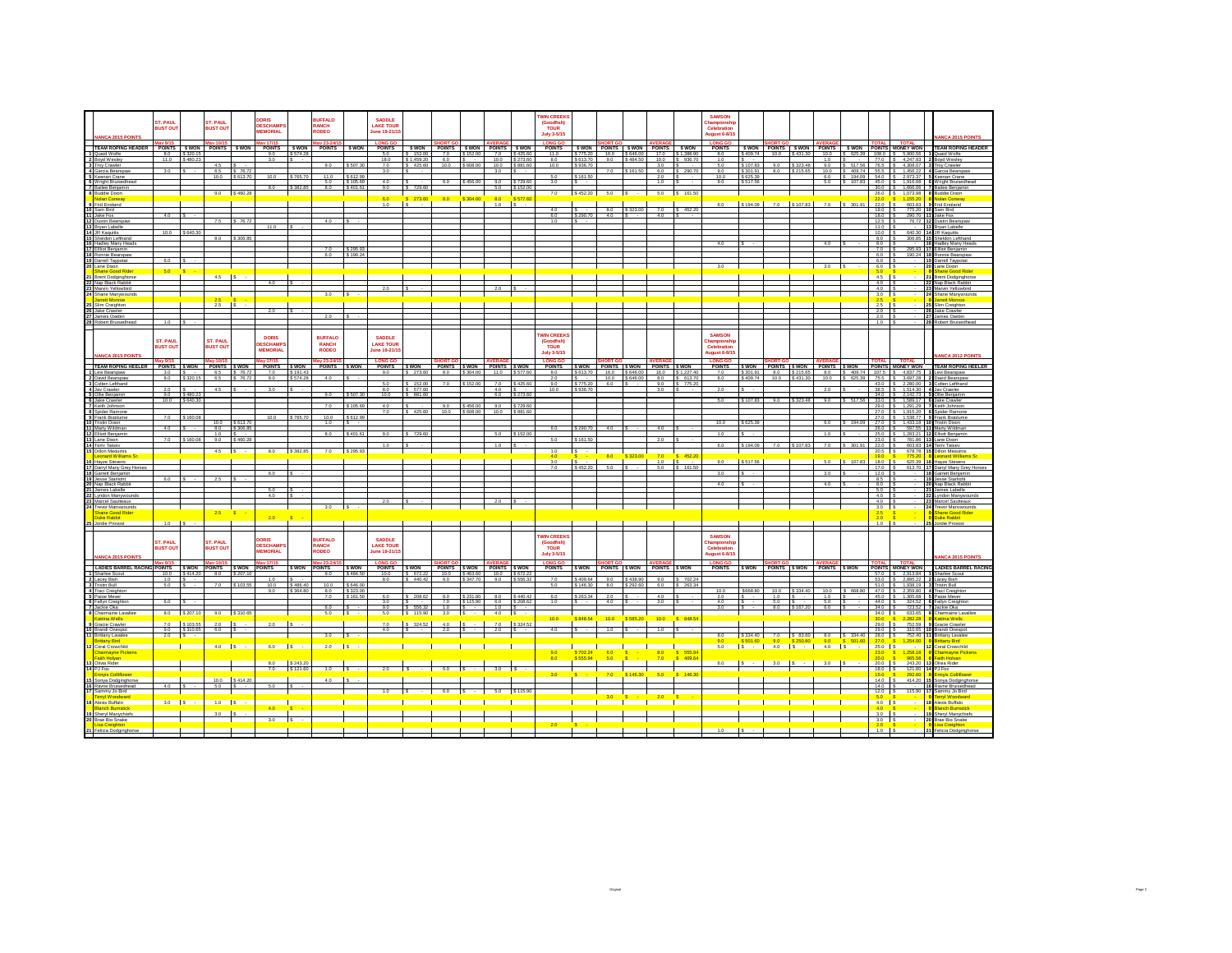|                                                  | ST. PAUL               |                      | T. PAUL                |                | DORIS<br><b>DESCHAMP</b>                                                         |                          | <b>RUFFALO</b><br><b>RANCH</b> |                          | SADDLE<br><b>LAKE TOUR</b>       |                        |                              |                               |                             |                               | <b>WIN CREEKS</b><br>(Goodfish)       |                      |            |                               |                                                    |                            | <b>SAMSON</b><br>Championsh                                |                      |                      |                      |                              |                            |                                                                                                  |                                                               |                                                                  |
|--------------------------------------------------|------------------------|----------------------|------------------------|----------------|----------------------------------------------------------------------------------|--------------------------|--------------------------------|--------------------------|----------------------------------|------------------------|------------------------------|-------------------------------|-----------------------------|-------------------------------|---------------------------------------|----------------------|------------|-------------------------------|----------------------------------------------------|----------------------------|------------------------------------------------------------|----------------------|----------------------|----------------------|------------------------------|----------------------------|--------------------------------------------------------------------------------------------------|---------------------------------------------------------------|------------------------------------------------------------------|
| <b>INCA 2015 POINTS</b>                          | <b>BUST OU</b>         |                      | <b>BUST OUT</b>        |                | <b>MEMORIAL</b>                                                                  |                          | RODEO                          |                          | une 19-21/15                     |                        |                              |                               |                             |                               | <b>TOUR</b><br>July 3-5/15            |                      |            |                               |                                                    |                            | Celebration<br>ugust 6-8/15                                |                      |                      |                      |                              |                            |                                                                                                  |                                                               | <b>ANCA 2015 POINT:</b>                                          |
| TEAM ROPING HEADER                               | av 9/15<br>POINTS SWON |                      | POINTS SWON            |                | av 17/15<br>POINTS SWON                                                          |                          | POINTS SWON                    |                          | <b>LONG GO</b><br><b>POINTS</b>  |                        | SWON POINTS SWON POINTS SWON |                               |                             |                               | <b>LONG GO</b><br><b>POINTS</b>       |                      |            |                               | SWON POINTS SWON POINTS SWON                       |                            | <b>LONG GO</b><br><b>POINTS</b>                            |                      |                      |                      |                              |                            |                                                                                                  | <b>TOTAL</b>                                                  | SWON POINTS SWON POINTS SWON POINTS MONEY WON TEAM ROPING HEADER |
| Cuaid Wolfe<br>2 Boyd Wesler                     | 8.0<br>11.0            | \$320.1<br>\$ 480.23 |                        |                | 9.0<br>3.0                                                                       | \$574.2                  |                                |                          | 5.0<br>18.0                      | 152.00<br>\$1,459.20   | 7.0<br>60                    | \$152.00                      |                             | 7.0 \$425.60<br>10.0 \$273.60 | 11.0<br>80                            | \$775.20<br>S 613.70 | 16.0<br>90 | \$646.00<br>S 484 50          | 17.0<br>10.0                                       | \$1.388.9<br>S 936.70      | 8.0<br>10                                                  | S 409.74             | 10.0                 | S 431.30             | 10.0<br>10                   | \$ 625.39                  |                                                                                                  | 108.0 S 5.900.56<br>77.0 \$ 4.247.93                          | Quaid Wolfe<br><b>Boyd Wesle</b>                                 |
| 3 Troy Crawler<br>4 Garcia Bearspaw              | 3.0                    |                      | 4.5  <br>6.5 \$ 76.72  |                |                                                                                  |                          | 9.0                            | \$507.30                 | 7.0<br>3.0                       | S 425.60               | 10.0                         | \$608.00                      | 3.0                         | 10.0 \$881.60                 | 10.0                                  | \$936.70             | 7.0        | \$161.50                      | 3.0<br>6.0                                         | \$ 290.70                  | 5.0<br>9.0                                                 | \$107.83<br>\$301.91 | 90<br>8.0            | S 323.48<br>\$215.65 | 9.0                          | \$ 517.56<br>10.0 S 409.74 |                                                                                                  | 76.5 S 4.308.07 3 Trov Crawler<br>55.5 S 1.456.22             | 4 García Bearspar                                                |
| senan Crane<br>6 Wright Bruisedhead              |                        |                      | 10.0 \$613.70          |                | 10.0                                                                             | \$765.70                 | 11.0<br>50                     | \$612.99<br>\$ 105.69    | 40                               |                        | 90                           | \$456.00                      |                             | 90 \$729.60                   | 5.0<br>30 <sub>1</sub>                | \$161.50<br>s.       |            |                               | 2.0<br>10                                          |                            | 10.0<br>90                                                 | \$625.39<br>\$517.56 |                      |                      |                              | 6.0 S 194.09               |                                                                                                  | 54.0 S 2.973.3                                                | 5.0 S 107.83 45.0 S 1.916.68 6 Wright Bruisedhead                |
| Bailee Beniamir                                  |                        |                      |                        |                |                                                                                  | \$ 3821                  | 80                             | S 401.61                 | 9.0                              | \$729.60               |                              |                               | 5.0                         | \$152.00                      |                                       |                      |            |                               |                                                    |                            |                                                            |                      |                      |                      |                              |                            |                                                                                                  | 30.0 S 1.666.06                                               | Bailee Beniam                                                    |
| <b>Buddie Dixon</b><br>olan Conway               |                        |                      |                        | $9.0$ \$460.28 |                                                                                  |                          |                                |                          | 60                               | \$273.60               | 80                           | \$304.0                       | 80                          | \$5776                        | 7.0                                   | \$452.20             | $5.0$ $S$  |                               | $-5.0$ \$ 161.50                                   |                            |                                                            |                      |                      |                      |                              |                            | $26.0$ S<br>220                                                                                  | 1,073.9<br>1.155.2                                            | <b>Buddie Dixor</b><br><b>Nolan Conwar</b>                       |
| Frid England<br>Sam Bird                         |                        |                      |                        |                |                                                                                  |                          |                                |                          | 1.0                              |                        |                              |                               | 1.0                         |                               | 4.0                                   |                      | 8.0        | \$323.00                      |                                                    | 7.0 S 452.20               | 6.0                                                        | S 194.09             | 7.0                  |                      | S 107.83 7.0 S 301.91        |                            | 22.0<br>$19.0$ S                                                                                 | 603.8<br>775.2                                                | <b>Frid England</b><br>Sam Bird                                  |
| Jake Fox<br><b>2</b> Dustin Bearspay             | 40                     |                      |                        | S 76.72        |                                                                                  |                          | 40                             |                          |                                  |                        |                              |                               |                             |                               | 60<br>10                              | \$290.70             | 4.0        |                               | 4.0                                                |                            |                                                            |                      |                      |                      |                              |                            | $18.0$ S<br>$12.5$ S                                                                             | 290.70<br>76.72 1                                             | Jake Fox<br><b>Dustin Bearson</b>                                |
| Brvan Labelle                                    | 100                    | SRAO                 |                        |                | 11.0                                                                             |                          |                                |                          |                                  |                        |                              |                               |                             |                               |                                       |                      |            |                               |                                                    |                            |                                                            |                      |                      |                      |                              |                            | $11.0$ S                                                                                         | 640.30 14                                                     | Brvan Labelle                                                    |
| <b>JR Kaguitts</b><br>Sheldon Lefthand           |                        |                      | 8.0 \$306.85           |                |                                                                                  |                          |                                |                          |                                  |                        |                              |                               |                             |                               |                                       |                      |            |                               |                                                    |                            |                                                            |                      |                      |                      |                              |                            | $10.0$ S<br>8.0 S                                                                                | 306.85 1                                                      | <b>JR Kaguitts</b><br>Sheldon Lefthand                           |
| ladley Many Head<br>Elliot Benjamin              |                        |                      |                        |                |                                                                                  |                          | 70                             | \$ 295.93                |                                  |                        |                              |                               |                             |                               |                                       |                      |            |                               |                                                    |                            |                                                            |                      |                      |                      |                              |                            | 8.0<br>$7.0$ S                                                                                   | 295.93                                                        | Hadley Many Hea<br>Ellliot Benjamin                              |
| 18 Ronnie Bearspaw<br>9 Darrell Taypotat         | 60                     |                      |                        |                |                                                                                  |                          | 6.0                            | \$190.24                 |                                  |                        |                              |                               |                             |                               |                                       |                      |            |                               |                                                    |                            |                                                            |                      |                      |                      |                              |                            | 6.0 S<br>6.0                                                                                     |                                                               | 190.24 18 Ronnie Bearspaw<br>19 Darrell Taypota                  |
| ane Dixon<br><b>bane Good Rider</b>              | 5.0                    |                      |                        |                |                                                                                  |                          |                                |                          |                                  |                        |                              |                               |                             |                               |                                       |                      |            |                               |                                                    |                            | 30                                                         |                      |                      |                      | 3.0                          |                            | $6.0$ S<br>5.0                                                                                   |                                                               | Lane Dixon<br>Shane Good Ride                                    |
| <b>Brent Dodginghorse</b><br>Nap Black Rabbit    |                        |                      | 4.5                    |                |                                                                                  |                          |                                |                          |                                  |                        |                              |                               |                             |                               |                                       |                      |            |                               |                                                    |                            |                                                            |                      |                      |                      |                              |                            | $4.5$ s<br>$4.0$ S                                                                               |                                                               | <b>Brent Dodginghors</b><br>2 Nap Black Rabbit                   |
| Mann Yellowhird                                  |                        |                      |                        |                |                                                                                  |                          | $3.0$ $S$                      |                          |                                  |                        |                              |                               |                             |                               |                                       |                      |            |                               |                                                    |                            |                                                            |                      |                      |                      |                              |                            | $40$ S                                                                                           |                                                               | Marvin Yellowhird                                                |
| Shane Manwwounds<br>t Monroe                     |                        |                      |                        |                |                                                                                  |                          |                                |                          |                                  |                        |                              |                               |                             |                               |                                       |                      |            |                               |                                                    |                            |                                                            |                      |                      |                      |                              |                            | $3.0$ S<br>26                                                                                    |                                                               | 24 Shane Manywounds<br>arrett Monroe                             |
| <b>Jim Creinhton</b><br>Jake Crawler             |                        |                      | 25                     |                | 2.0                                                                              |                          |                                |                          |                                  |                        |                              |                               |                             |                               |                                       |                      |            |                               |                                                    |                            |                                                            |                      |                      |                      |                              |                            | 25 IS<br>$2.0$ IS                                                                                |                                                               | Slim Creighton<br>26 Jake Crawler                                |
| ames Oxebir<br>tobert Bruisedhead                | 1.0                    |                      |                        |                |                                                                                  |                          |                                |                          |                                  |                        |                              |                               |                             |                               |                                       |                      |            |                               |                                                    |                            |                                                            |                      |                      |                      |                              |                            | 2.0<br>$1.0$ $S$                                                                                 |                                                               | James Oxebi<br>28 Robert Bruisedhead                             |
|                                                  |                        |                      |                        |                |                                                                                  |                          |                                |                          |                                  |                        |                              |                               |                             |                               |                                       |                      |            |                               |                                                    |                            |                                                            |                      |                      |                      |                              |                            |                                                                                                  |                                                               |                                                                  |
|                                                  | ST. PAUL               |                      | ST. PAUL               |                | DORIS<br>DESCHAMP                                                                |                          | <b>RUFFALO</b><br><b>RANCH</b> |                          | SADDLE<br><b>LAKE TOUR</b>       |                        |                              |                               |                             |                               | <b>WIN CREEK</b><br>(Goodfish<br>TOUR |                      |            |                               |                                                    |                            | <b>SAMSON</b><br>Celebration                               |                      |                      |                      |                              |                            |                                                                                                  |                                                               |                                                                  |
| ANCA 2015 POINT                                  | <b>SUST OU</b>         |                      | <b>SUST OUT</b>        |                | <b>MEMORIA</b>                                                                   |                          | <b>RODEO</b>                   |                          | une 19-21/15                     |                        |                              |                               |                             |                               | July 3-5/15                           |                      |            |                               |                                                    |                            | <b>August 6-8/15</b>                                       |                      |                      |                      |                              |                            |                                                                                                  |                                                               |                                                                  |
| <b>TEAM ROPING HEELER</b>                        | POINTS SWON            |                      | POINTS SWON            |                | av 17/15<br>POINTS SWON                                                          |                          | w 23-24<br><b>POINTS</b>       | <b>S WON</b>             | <b>LONG GO</b><br><b>POINTS</b>  | <b>S WON</b>           | POINTS SWON POINTS SWON      |                               |                             |                               | <b>LONG GO</b><br><b>POINTS</b>       |                      |            |                               | SWON POINTS SWON POINTS SWON                       |                            | <b>LONG GO</b><br><b>POINTS</b>                            |                      |                      |                      | SWON POINTS SWON POINTS SWON |                            |                                                                                                  | <b>TOTAL</b><br>POINTS MONEY WON                              | <b>TEAM ROPING HEELE</b>                                         |
| evi Bearspaw                                     | 3.0                    |                      | 6.5                    | \$76.72        | 7.0                                                                              | \$191.43                 |                                |                          | 9.0                              | \$273.60               | 8.0                          | \$304.00                      | 11.0                        | \$577.60                      | 8.0                                   | \$613.70             |            | 16.0 \$646.00<br>100 \$646.00 | 16.0                                               | \$1,227.40<br>80 \$ 613.70 | 7.0                                                        | \$301.91             | 8.0                  | $$215.65$ 8.0        |                              | \$409.74                   |                                                                                                  | 107.5 S 4.837.75<br>100 \$431.30 100 \$625.39 755 \$3697.28 2 | 1 Levi Bearspaw                                                  |
| 2 David Bearspaw<br><b>Golten Lefthand</b>       | 80                     | \$320.15             | 65 \$7673              |                | 90                                                                               | \$ 574.28                | 4.0                            |                          | 5.0                              | \$152.00               | 70                           |                               | 7.0                         | \$425.6                       | 20<br>9.0                             | \$775.20             | 6.0        |                               | 9.0                                                | \$ 775.20                  | 80                                                         | \$409.74             |                      |                      |                              |                            |                                                                                                  | 43.0 S 2.280.00                                               | David Bearspaw<br>Colten Lefthand                                |
| Jav Crawler<br><b>S</b> Ollie Reniamin           | 2.0<br>90              | S 480 2              | 4.5                    |                | 3.0                                                                              |                          | 90                             | 607.31                   | 8.0<br>10.0                      | \$ 577.60<br>\$ 881.60 |                              |                               | 4.0<br>60                   | \$273.60                      | 10.0                                  | \$936.70             |            |                               | 3.0                                                |                            | 2.0                                                        |                      |                      |                      | 2.0                          |                            |                                                                                                  | 38.5 S 1.514.30<br>$340$ $\frac{1}{3}$ $21427$                | 4 Jay Crawler<br>Ollie Beniamir                                  |
| <b>6</b> Jake Crawler<br>Keith Johnson           | 10.0                   | \$ 640.30            |                        |                |                                                                                  |                          | 7.0                            | \$105.69                 | 4.0                              |                        | 9.0                          | \$456.00                      |                             | 9.0 \$729.60                  |                                       |                      |            |                               |                                                    |                            | 5.0                                                        | \$107.83             | 9.0                  | S 323.48             | 9.0                          |                            |                                                                                                  | 33.0 \$ 1,589.17<br>29.0 S 1.291.29                           | Jake Crawler<br>Keith Johnson                                    |
| 8 Spider Ramone<br>9 Frank Bigplume              | 70                     |                      |                        |                | 100                                                                              | \$765.7                  | 10.0                           | S 612.9                  | 70                               | 42560                  | 100                          | 00.808.2                      |                             | 100 \$88160                   |                                       |                      |            |                               |                                                    |                            |                                                            |                      |                      |                      |                              |                            |                                                                                                  | 270 \$ 191520<br>27.0 S 1.538.77                              | Snider Ramon<br>Frank Bigplum                                    |
| Tristin Dixon<br>Marty Wildman                   | 4.0                    |                      | 10.0                   | \$613.70       |                                                                                  |                          | 1.0                            |                          |                                  |                        |                              |                               |                             |                               | 60                                    |                      | 40         |                               | 4.0                                                |                            | 10.0                                                       |                      |                      |                      |                              | 194.0                      | $27.0$ S                                                                                         | 1,433.18                                                      | <b>Tristin Dixon</b><br>Marty Wildman                            |
| <b>2</b> Elliott Benjamin                        |                        |                      | $1.0$ S                | 8.0 \$306.85   |                                                                                  |                          | 80                             | S 401.61                 | 90                               | 729.60                 |                              |                               |                             | \$152.0                       |                                       | \$290.70             |            |                               |                                                    |                            | 10                                                         |                      |                      |                      |                              |                            |                                                                                                  | 26.0 \$ 597.55<br>25.0 S 1.283.21                             | Elliott Benjamir                                                 |
| Lane Dixon<br>Terry Tatsey                       | 7.0                    | \$160.               | 9.0                    | \$460.         |                                                                                  |                          |                                |                          | 10                               |                        |                              |                               | 10                          |                               |                                       | \$161.50             |            |                               | 2.0                                                |                            | 60                                                         | \$194.09             |                      | \$ 107.83            | 70                           | 301.91                     | 23.0 S<br>$22.0$ S                                                                               | 781.86<br>603.83 1                                            | Lane Dixon<br><b>Terry Tatsey</b>                                |
| <b>Dillon Mequinis</b><br>sonard Williams S      |                        |                      | $4.5$ S                |                | 8.0                                                                              | S 382 85                 | 7.0 S 295.93                   |                          |                                  |                        |                              |                               |                             |                               | 10                                    | Ιs                   | 8.0        |                               | 70                                                 | 4523                       |                                                            |                      |                      |                      |                              |                            | $20.5$ $\sqrt{S}$<br>19.0                                                                        | 678.78 1                                                      | <b>Dillon Mequinis</b><br>eonard William                         |
| avze Stevens<br>Darryl Many Grey Hor             |                        |                      |                        |                |                                                                                  |                          |                                |                          |                                  |                        |                              |                               |                             |                               | 70                                    | \$ 452.20            |            |                               | 10<br>50                                           | 8.1815                     | 9.0                                                        | S 517.56             |                      |                      | 50                           | 107R                       | 18.0                                                                                             | 625.39<br>613.70                                              | <b>Havze Stever</b><br>Darryl Many Grey H                        |
| Garrett Beniamin<br>esse Starlight               | 60                     |                      |                        |                | 6.0                                                                              |                          |                                |                          |                                  |                        |                              |                               |                             |                               |                                       |                      |            |                               |                                                    |                            | 3.0                                                        |                      |                      |                      | 3.0                          |                            | $\begin{array}{ c c c c } \hline 17.0 & S \\ \hline 12.0 & S \\ \hline \end{array}$<br>85 L      |                                                               | Garrett Beniamir<br>Jesse Starlight                              |
| Nap Black Rabbit                                 |                        |                      |                        |                | 5.0                                                                              |                          |                                |                          |                                  |                        |                              |                               |                             |                               |                                       |                      |            |                               |                                                    |                            | 4.0                                                        |                      |                      |                      | 4.0                          |                            | $8.0$ S<br>$5.0$ S                                                                               |                                                               | 20 Nap Black Rabbit                                              |
| James Labelle<br>ndon Manywor                    |                        |                      |                        |                | $40 -$                                                                           |                          |                                |                          |                                  |                        |                              |                               |                             |                               |                                       |                      |            |                               |                                                    |                            |                                                            |                      |                      |                      |                              |                            | 4.0                                                                                              |                                                               | James Labelle<br>Lyndon Manywo                                   |
| Marcel Saulteaux<br>Trevor Manywounds            |                        |                      |                        |                |                                                                                  |                          | $3.0$ $S$                      |                          |                                  |                        |                              |                               |                             |                               |                                       |                      |            |                               |                                                    |                            |                                                            |                      |                      |                      |                              |                            | $4.0$ S<br>$3.0$ S                                                                               |                                                               | 23 Marcel Saulteaux<br>24 Trevor Manywounds                      |
| hane Good Rider<br>luke Rabbit                   |                        |                      | 2.5                    |                | 2.0                                                                              | is.                      |                                |                          |                                  |                        |                              |                               |                             |                               |                                       |                      |            |                               |                                                    |                            |                                                            |                      |                      |                      |                              |                            | 2.5<br>20                                                                                        |                                                               | shane Good Rider<br>Duke Rabbit                                  |
| S. Jordie Provost                                | 10                     |                      |                        |                |                                                                                  |                          |                                |                          |                                  |                        |                              |                               |                             |                               |                                       |                      |            |                               |                                                    |                            |                                                            |                      |                      |                      |                              |                            | $1.0$ $\overline{\phantom{a}}$ s                                                                 |                                                               | <b>Jordie Provost</b>                                            |
|                                                  | ST, PAUL               |                      | ST. PAUL               |                | ORIS                                                                             |                          | <b>BUFFALO</b>                 |                          | <b>SADDLE</b>                    |                        |                              |                               |                             |                               | <b>WIN CREEKS</b>                     |                      |            |                               |                                                    |                            | <b>SAMSON</b>                                              |                      |                      |                      |                              |                            |                                                                                                  |                                                               |                                                                  |
|                                                  | <b>BUST OUT</b>        |                      | <b>SUST OUT</b>        |                | <b>DESCHAMP</b><br><b>MEMORIAL</b>                                               |                          | <b>RANCH</b><br><b>RODEO</b>   |                          | <b>LAKE TOUR</b><br>une 19-21/1! |                        |                              |                               |                             |                               | (Goodfish)<br><b>TOUR</b>             |                      |            |                               |                                                    |                            | hampionsh<br>Celebration                                   |                      |                      |                      |                              |                            |                                                                                                  |                                                               |                                                                  |
| <b>NANCA 2015 POINTS</b>                         | av 9/15                |                      |                        |                | iv 17/15                                                                         |                          | av 23-24/                      |                          | LONG GO                          |                        |                              |                               |                             |                               | July 3-5/15<br><b>LONG GO</b>         |                      |            |                               |                                                    |                            | ugust 6-8/15<br><b>LONG GO</b>                             |                      |                      |                      |                              |                            | <b>OTAL</b>                                                                                      | <b>TOTAL</b>                                                  | <b>NANCA 2015 POINT:</b>                                         |
| LADIES BARREL RACING POINTS \$ WON               |                        |                      | POINTS SWON            |                | <b>POINTS</b>                                                                    | <b>S WON</b>             | <b>POINTS</b>                  | S WON                    | <b>POINTS</b>                    | <b>S WON</b>           | POINTS SWON POINTS SWON      |                               |                             |                               | <b>POINTS</b>                         |                      |            |                               | SWON POINTS SWON POINTS SWON                       |                            | <b>POINTS</b>                                              |                      |                      |                      | SWON POINTS SWON POINTS SWON |                            |                                                                                                  | POINTS MONEY WON                                              | <b>LADIES BARREL RAC</b>                                         |
| 1 Sharlee Scout<br>2 Lacey Bish                  | 10.0<br>1.0            | S 414 2              | 8.0                    |                | 1.0                                                                              |                          | 90                             | \$ 484.50                | 10.0<br>8.0                      | 672.22<br>\$440.42     | 10.0<br>9.0                  | \$463.60<br>S 347.70          | 10.0<br>9.0                 | \$ 672<br>\$556.3             | 7.0                                   | \$409.64             | 9.0        | \$438.90                      |                                                    | 9.0 \$702.24               |                                                            |                      |                      |                      |                              |                            |                                                                                                  | 570 S 291384<br>53.0 \$ 2,895.22 2 Lacey Bish                 | Sharlee Scout                                                    |
| <b>Tristin Bull</b><br>4 Traci Creighton         | 6.0                    |                      | 7.0                    |                | 10.0<br>90                                                                       | \$486.40<br>\$364.80     | 10.0<br>8.0                    | \$646.00<br>\$323.00     |                                  |                        |                              |                               |                             |                               | 5.0                                   | \$146.30             | 8.0        | \$292.60                      | 6.0                                                | $S$ 263.34                 | 10.0                                                       | S668.80              |                      | 10.0 \$334.40        | 10.0                         | S 668.80                   |                                                                                                  | 51.0 S 1.938.19<br>470 \$ 235980 4                            | <b>Tristin Bull</b><br>Traci Creighto                            |
| 5 Paige Mever<br>Fallyn Creight                  | 6.0                    |                      |                        |                |                                                                                  |                          | 7.0                            | \$161.50                 | 6.0<br>3.0                       | \$208.62               | 8.0<br>7.0                   | \$231.80<br>\$115.90          | 6.0                         | 8.0 \$440.42<br>\$208.6       | 6.0<br>10                             | \$263.34             | 2.0<br>4.0 |                               | 4.0<br>3.0                                         |                            | 2.0<br>4.0                                                 |                      | 1.0<br>50            | $\sim$ $\sim$        | 1.0<br>5.0                   |                            | 45.0 S<br>44.0 S                                                                                 | 1.305.68<br>324.5                                             | Paige Mever<br>Fallyn Creix                                      |
| 7 Jackie Oka<br>8 Charmaine Lavallee             |                        | 8.0 \$207.10         | 9.0 \$310.65           |                |                                                                                  |                          | 60<br>$5.0$ $\vert$ S $\vert$  |                          | 90<br>5.0                        | \$56632<br>S 115.90    | $10$ $\overline{\text{S}}$ . | $3.0$ IS $\cdot$ I            | $10 \quad$ $\overline{3}$ . | $4.0$ S -                     |                                       |                      |            |                               |                                                    |                            | 3.0                                                        |                      |                      | 8.0 \$167.20         | 6.0                          |                            | $34.0$ S                                                                                         | 34.0 \$ 723.52 7 Jackie Oka<br>633.65                         | 8 Charmaine Lavallee                                             |
| rina Wells<br>Gracie Crawler                     |                        | 7.0 \$103.55         | 20                     |                | 2.0                                                                              | $\overline{\phantom{a}}$ |                                |                          | 70                               | $S$ 324.52             |                              | $4.0$ $\vert s \vert$ $\vert$ | 7.0                         | \$324.52                      | 10.0                                  | 848.54               | 10.0       | \$585.20                      | 10.0                                               |                            |                                                            |                      |                      |                      |                              |                            | $29.0$ $\overline{\phantom{0}}$ s                                                                | 752.59                                                        | Gracie Crawle                                                    |
| <b>0</b> Brandi Onespot<br>Inittany Lavalee      | 9.0<br>2.0             | S 310.65             | 6.0                    |                |                                                                                  |                          | 3.0                            | $\overline{\phantom{a}}$ | 40                               |                        | 20                           |                               | 2.0                         | $\sim$                        | 4.0                                   |                      | 1.0        |                               | 1.0                                                |                            | 8.0                                                        |                      | \$334.40 7.0 \$83.60 |                      | 8.0                          | S 334.40                   | $29.0$ $\sqrt{S}$<br>$28.0$ \$                                                                   | 310.65 1<br>752.40                                            | <b>Brandi Onespot</b><br>Brittany Lavalee                        |
| <b>Hany Rind</b>                                 |                        |                      |                        |                |                                                                                  |                          |                                |                          |                                  |                        |                              |                               |                             |                               |                                       |                      |            |                               |                                                    |                            | 0 5 501.60 9.0 \$250.80 9.0 \$<br>5.0 \$ - 4.0 \$ - 4.0 \$ |                      |                      |                      |                              | 501.6                      | 27.0                                                                                             | \$ 1,254.00                                                   | <b>Rrittany Rind</b>                                             |
| Coral Crowchild<br>harmayne Pickens              |                        |                      | $4.0$ $S$ $-$          |                | $6.0$ $\overline{\phantom{0}}$ $\overline{\phantom{0}}$ $\overline{\phantom{0}}$ |                          | $2.0$ $S$ $\cdot$              |                          |                                  |                        |                              |                               |                             |                               | 9.0                                   | \$702.24             |            |                               | $\begin{array}{c} \hline \ \hline 8.0 \end{array}$ | \$ 555.94                  |                                                            |                      |                      |                      |                              | $\sim$                     | $250$ $\overline{3}$<br>23.0                                                                     | 1,258.1                                                       | Coral Crowchild<br>Charmavne Pickens                             |
| aith Holvan<br>Olivia Rider                      |                        |                      |                        |                | 8.0                                                                              | S 243.2                  |                                |                          |                                  |                        |                              |                               |                             |                               | 8.0                                   | \$555.94             |            |                               | 7.0                                                | S 409.64                   | 6.0                                                        |                      | 3.0                  |                      | 3.0                          |                            | 20.0<br>$20.0$ $\sqrt{S}$                                                                        | <b>ORR RI</b><br>243.20                                       | <b>Calify Hollyan</b><br>Olivia Rider                            |
| 4 PJ Fox                                         |                        |                      |                        |                |                                                                                  | 7.0 \$121.60             | $1.0$ S $\cdot$                |                          | 2.0                              |                        | 5.0                          | <b>S</b>                      | 3.0                         | S                             |                                       |                      |            |                               | 5.0                                                |                            |                                                            |                      |                      |                      |                              |                            | $18.0$ S                                                                                         | 121.60                                                        | 14 PJ Fox                                                        |
| Sonya Dodginghorse<br>16 Rayne Bruisedhead       | 40                     |                      | 10.0 \$414.20<br>5.0 S |                | 50                                                                               |                          | 40                             |                          |                                  |                        |                              |                               |                             |                               |                                       |                      |            |                               |                                                    |                            |                                                            |                      |                      |                      |                              |                            | $\begin{array}{ c c c c c }\n \hline\n 15.0 & S \\  \hline\n 14.0 & S\n \end{array}$<br>$14.0$ S | 414.20                                                        | Sonya Dodginghors<br>Rayne Bruisedhea                            |
| Sammy Jo Bird                                    |                        |                      |                        |                |                                                                                  |                          |                                |                          |                                  |                        |                              |                               | 5.0                         | \$115.90                      |                                       |                      |            |                               |                                                    |                            |                                                            |                      |                      |                      |                              |                            | $12.0$ $S$                                                                                       | 115.90                                                        | Sammy Jo Bird                                                    |
| <b>Arryl Woodward</b><br><b>B</b> Alexis Buffalo | $3.0$ $\vert$ S -      |                      | $1.0$ s                |                |                                                                                  |                          |                                |                          |                                  |                        |                              |                               |                             |                               |                                       |                      |            |                               |                                                    |                            |                                                            |                      |                      |                      |                              |                            | 5.0<br>$4.0$ $\overline{\phantom{0}}$ s                                                          |                                                               | Terryl Woodward<br>18 Alexis Buffalo                             |
| <b>9</b> Shervi Manuchiefs                       |                        |                      | 3.0                    |                |                                                                                  |                          |                                |                          |                                  |                        |                              |                               |                             |                               |                                       |                      |            |                               |                                                    |                            |                                                            |                      |                      |                      |                              |                            | 40<br>30 <sup>o</sup>                                                                            |                                                               | Shervi Manychiefs                                                |
| 20 Brae Big Snake<br>sa Creighton                |                        |                      |                        |                | $3.0$ $\sqrt{5}$ -                                                               |                          |                                |                          |                                  |                        |                              |                               |                             |                               |                                       |                      |            |                               |                                                    |                            |                                                            |                      |                      |                      |                              |                            | $3.0$ S                                                                                          |                                                               | 20 Brae Big Snake<br>isa Creightor                               |
| 21 Felicia Dodgingho                             |                        |                      |                        |                |                                                                                  |                          |                                |                          |                                  |                        |                              |                               |                             |                               |                                       |                      |            |                               |                                                    |                            |                                                            |                      |                      |                      |                              |                            | $1.0$ $\overline{\phantom{0}}$                                                                   |                                                               | 21 Felicia Dodgingh                                              |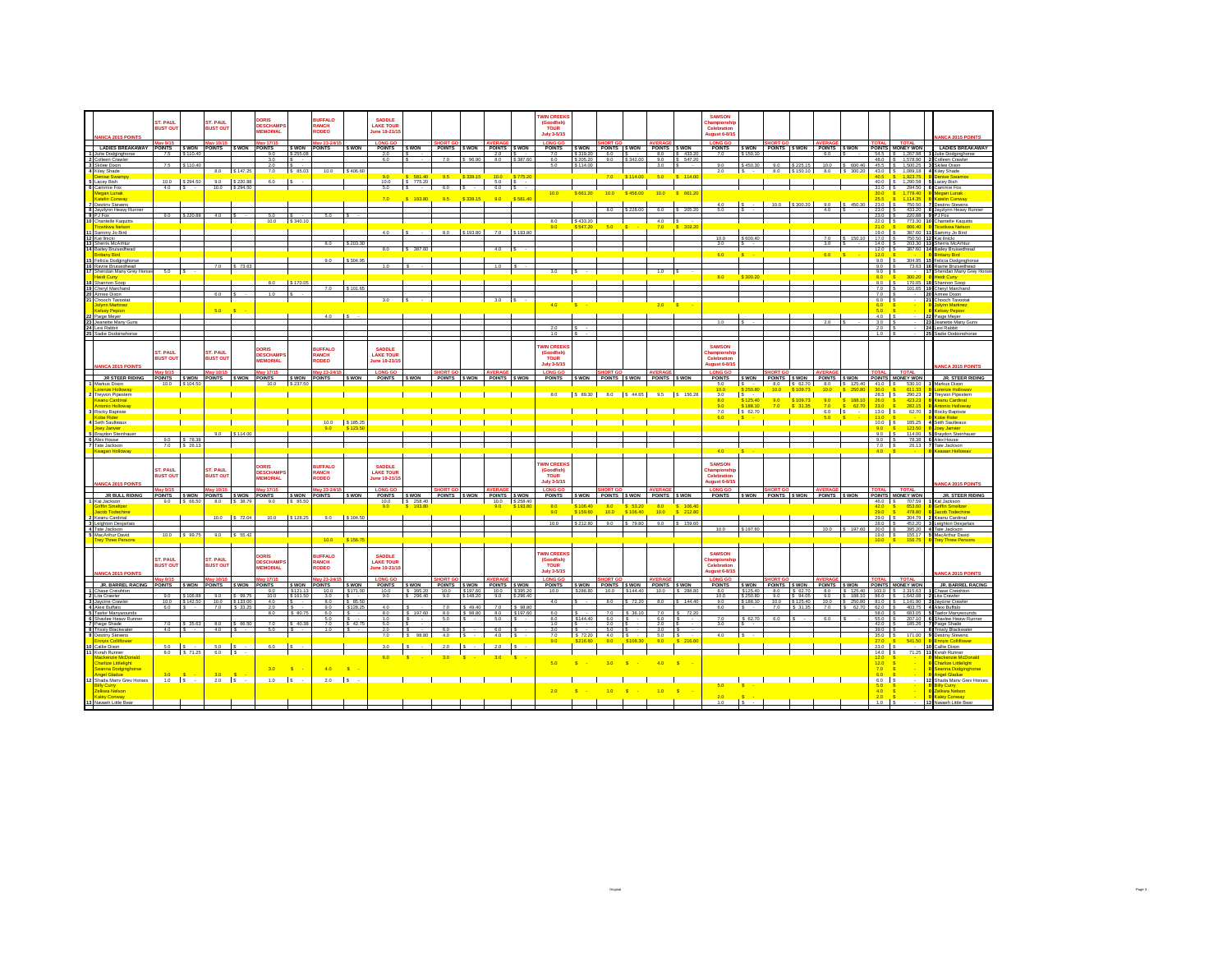|                                                                                    | ST. PAUL                    |                                   | ST. PAUL                           |                           | DORIS                               |                            | <b>BUFFALO</b>           |                             | <b>SADDLE</b>                    |                                                    |                         |                    |                      |                             | <b>WIN CREEK:</b>                          |                      |                                                                      |          |                                             |                   | <b>SAMSON</b>                          |                              |                   |                         |                                      |                      |                                      |                                            |                                                |
|------------------------------------------------------------------------------------|-----------------------------|-----------------------------------|------------------------------------|---------------------------|-------------------------------------|----------------------------|--------------------------|-----------------------------|----------------------------------|----------------------------------------------------|-------------------------|--------------------|----------------------|-----------------------------|--------------------------------------------|----------------------|----------------------------------------------------------------------|----------|---------------------------------------------|-------------------|----------------------------------------|------------------------------|-------------------|-------------------------|--------------------------------------|----------------------|--------------------------------------|--------------------------------------------|------------------------------------------------|
|                                                                                    | <b>BUST OUT</b>             |                                   | <b>BUST OUT</b>                    |                           | <b>DESCHAMP</b><br><b>MEMORIAL</b>  |                            | RANCH<br><b>RODEO</b>    |                             | <b>LAKE TOUR</b><br>une 19-21/15 |                                                    |                         |                    |                      |                             | (Goodfish)<br><b>TOUR</b>                  |                      |                                                                      |          |                                             |                   | hamnionst<br>Celebration               |                              |                   |                         |                                      |                      |                                      |                                            |                                                |
| <b>NANCA 2015 POINTS</b>                                                           | av 9/15                     |                                   | av 10/15                           |                           | lav 17/15                           |                            | lay 23-24/               |                             | <b>LONG GO</b>                   |                                                    |                         |                    |                      |                             | July 3-5/15<br>LONG GO                     |                      |                                                                      |          |                                             |                   | <b>August 6-8/15</b><br><b>LONG GO</b> |                              |                   |                         |                                      |                      |                                      | <b>TOTA</b>                                | <b>ANCA 2015 POINT</b>                         |
| LADIES BREAKAWAY                                                                   | 7.5                         | S 110.40                          | POINTS SWON POINTS SWON            |                           | <b>POINTS</b><br>9.0                | <b>S WON</b><br>\$255.08   | <b>POINTS</b>            | I s won                     | POINTS SWON<br>2.0               |                                                    | POINTS SWON POINTS SWON |                    | $2.0$ S -            |                             | POINTS SWON POINTS SWON POINTS SWON<br>7.0 | \$319.20             | 6.0                                                                  |          |                                             | 8.0 S 433.20      | <b>POINTS</b><br>7.0                   | \$150.10                     |                   |                         | SWON POINTS SWON POINTS SWON<br>6.0  |                      | 54.5                                 | POINTS MONEY WON<br>\$ 1.267.98            | LADIES BREAKAWA<br>Julie Dodainahorse          |
| 2 Colleen Crawle                                                                   | 75                          | \$110.40                          |                                    |                           | 30<br>20                            |                            |                          |                             | 60                               |                                                    |                         |                    |                      | 8.0 \$387 RO                | 6.0<br>5.0                                 | S 114.00             |                                                                      | \$342.00 | 90<br>3.0                                   | S 5472<br>$\sim$  | 90                                     | \$450.30                     |                   | 90 \$225.15             |                                      | 10.0 S 600.40        | 48.0                                 | 1,578.90<br>45.5 S 1.500.25 3 Skilee Dixon | Colleen Craw                                   |
| 3 Skilee Dixon<br>4 Kiley Shade<br>Denise Swamp                                    |                             |                                   |                                    | 8.0 \$147.25              | 7.0                                 | \$ 85.03                   | 10.0 S 406.60            |                             | 9.0                              |                                                    | 9.5                     |                    |                      |                             |                                            |                      | 7.0                                                                  | S 114.00 | 5.0                                         | $S = 114.0$       | 2.0                                    | $s \sim$                     |                   |                         | 8.0 \ \ \$150.10 \ 8.0 \ \ \$ 300.20 |                      | 40.5                                 | 430 \$ 108918<br>1.923.7                   | 4 Kiley Shade<br>enise Swar                    |
| 5 Lacev Bish                                                                       | 10.0                        | S 294.50<br>4.0 S                 | 9.0                                | S 220.88<br>10.0 \$294.50 | 6.0                                 |                            |                          |                             | 10.0<br>5.0                      | $\frac{\$}{\$}$ 581.40<br><b>Contract Contract</b> | 6.0                     |                    | \$339.15 10.0 \$775. |                             |                                            |                      |                                                                      |          |                                             |                   |                                        |                              |                   |                         |                                      |                      | 40.0                                 | 1,290.58                                   | Lacev Bish                                     |
| 6 Cammie Fox<br>Megan Lunak<br>Katelin Conway                                      |                             |                                   |                                    |                           |                                     |                            |                          |                             |                                  |                                                    |                         | \$ 339.15          |                      | \$ 581.40                   | 10.0                                       | \$ 661.20            | 100                                                                  | \$456.00 | 10.0                                        | $S = 661.20$      |                                        |                              |                   |                         |                                      |                      | 31.0<br>30.0<br>25.5                 | 294.50<br>1.778.4<br>1.114.35              | Cammie Fox<br>Megan Lunak                      |
| Destiny Stevens                                                                    |                             |                                   |                                    |                           |                                     |                            |                          |                             | 7.0                              | S 193.80                                           | 9.5                     |                    | 90                   |                             |                                            |                      |                                                                      |          |                                             |                   | 40                                     |                              |                   |                         |                                      | 450.30               | 23.0                                 | 750.50                                     | <b>Katelin Conwar</b><br>estiny Steven         |
| 8 Javzivnn Heavy Runner<br>9 PJ Fox<br>10 Chantelle Kaquitts                       |                             | 90 \$2208                         |                                    |                           |                                     |                            |                          |                             |                                  |                                                    |                         |                    |                      |                             |                                            |                      | 8.0                                                                  | \$228.00 | 6.0                                         | S 205.20          |                                        |                              |                   |                         | 4.0                                  |                      | 23.0<br>23.0                         | 433.20<br>220.88                           | lavzivnn Heaw I<br>J Fox                       |
| Towtkwa Nelson                                                                     |                             |                                   |                                    |                           | 10.0                                | \$340.1                    |                          |                             |                                  |                                                    |                         |                    |                      |                             | 8.0<br>9.0                                 | S 433.20             | 60                                                                   |          | 4.0<br>7.0                                  | <b>S</b><br>319.2 |                                        |                              |                   |                         |                                      |                      | 22.0<br>210                          | 773.30<br>866.40                           | Chantelle Kaguit<br>icwtkwa Nelso              |
| Sammy Jo Bird<br>11 Sammy Jol                                                      |                             |                                   |                                    |                           |                                     |                            |                          |                             | 4.0                              |                                                    |                         | 8.0 S 193.80       |                      | 7.0 \$193.80                |                                            |                      |                                                                      |          |                                             |                   | 10.0                                   | \$600.40                     |                   |                         | 7.0                                  | 150.10               | 190<br>17.0                          | 387.60<br>750.50                           | mmy.lo Rind<br>Kat Ilnicki                     |
| 13 Sherris McArhtu<br>14 Bailey Bruisedhead                                        |                             |                                   |                                    |                           |                                     |                            |                          | 303.30                      | 8.0                              | S 387.60                                           |                         |                    | 4.0                  |                             |                                            |                      |                                                                      |          |                                             |                   | 30                                     |                              |                   |                         | 3.0                                  |                      | 14.0<br>12.0                         | 203.30<br>387.60                           | Sherris McArh<br><b>Bailey Bruisedhead</b>     |
| <b>Fitteny Rind</b>                                                                |                             |                                   |                                    |                           |                                     |                            | 9.0                      |                             |                                  |                                                    |                         |                    |                      |                             |                                            |                      |                                                                      |          |                                             |                   | 6.0                                    |                              |                   |                         | 6.0                                  |                      | 120                                  | 304.95                                     | <b>Hitany Rind</b>                             |
| 15 Felicia Dodginghorse<br>16 Ravne Bruisedhead<br>17 Sheridan Many Grev Horse     |                             |                                   | 7.0                                | \$73.63                   |                                     |                            |                          | S 304.96                    | 10                               |                                                    |                         |                    | 1.0                  |                             |                                            |                      |                                                                      |          |                                             |                   |                                        |                              |                   |                         |                                      |                      | 90<br>9.0                            | 73.63                                      | <b>Felicia Dodgingh</b><br>Rayne Bruisedhead   |
| eidi Cunv                                                                          | $5.0$ $\sqrt{5}$            |                                   |                                    |                           |                                     |                            |                          |                             |                                  |                                                    |                         |                    |                      |                             | 3.0                                        |                      |                                                                      |          | 1.0                                         |                   | 8.0                                    | \$300.20                     |                   |                         |                                      |                      | 9.0<br>8.0                           | $\sim$                                     | Sheridan Many Grev H<br>idi Cunv               |
| 18 Shannon Soco                                                                    |                             |                                   |                                    |                           | 80                                  | \$170.05                   |                          | \$101.65                    |                                  |                                                    |                         |                    |                      |                             |                                            |                      |                                                                      |          |                                             |                   |                                        |                              |                   |                         |                                      |                      | 8.0<br>70                            | 170.05                                     | 18 Shannon Soop<br>101.65 19 Cheryl Marchane   |
| 19 Cheryl Marchand<br>20 Aimee Dixon<br>21 Chooch Tayootat                         |                             |                                   | 6.0                                |                           | 1.0                                 |                            |                          |                             |                                  |                                                    |                         |                    |                      |                             |                                            |                      |                                                                      |          |                                             |                   |                                        |                              |                   |                         |                                      |                      | 7.0<br>6.0                           |                                            | 20 Aimee Dixon<br>Chooch Taypota               |
| Jolynn Martinez<br><b>Hisey Pepion</b>                                             |                             |                                   | 5.0                                |                           |                                     |                            |                          |                             |                                  |                                                    |                         |                    |                      |                             | 4.0                                        |                      |                                                                      |          | 2.0                                         |                   |                                        |                              |                   |                         |                                      |                      | 6.0<br>50                            |                                            | <b>Jolynn Martinez</b><br><b>Kelsey Peninn</b> |
|                                                                                    |                             |                                   |                                    |                           |                                     |                            |                          |                             |                                  |                                                    |                         |                    |                      |                             |                                            |                      |                                                                      |          |                                             |                   |                                        |                              |                   |                         |                                      |                      | 4.0                                  |                                            | 22 Paige Meyer                                 |
| 22 Paige Mever<br>23 Jeanette Many Guns<br>24 Lexi Rabbit<br>25 Sadie Dodginghorse |                             |                                   |                                    |                           |                                     |                            |                          |                             |                                  |                                                    |                         |                    |                      |                             | 2.0                                        |                      |                                                                      |          |                                             |                   | 10                                     |                              |                   |                         |                                      |                      | $3.0$ IS<br>2.0                      |                                            | 23 Jeanette Many Guns<br>24 Lexi Rabbit        |
|                                                                                    |                             |                                   |                                    |                           |                                     |                            |                          |                             |                                  |                                                    |                         |                    |                      |                             | 1.0                                        |                      |                                                                      |          |                                             |                   |                                        |                              |                   |                         |                                      |                      | 1.0                                  |                                            | 25 Sadie Dodging                               |
|                                                                                    | ST. PAUL                    |                                   | ST. PAUL                           |                           | DORIS                               |                            | <b>BUFFALO</b>           |                             | <b>SADDLE</b>                    |                                                    |                         |                    |                      |                             | <b>WIN CREEKS</b><br>(Goodfish)            |                      |                                                                      |          |                                             |                   | <b>SAMSON</b><br>hampionsh             |                              |                   |                         |                                      |                      |                                      |                                            |                                                |
|                                                                                    | <b>RUST OUT</b>             |                                   | <b>RUST OUT</b>                    |                           | <b>DESCHAMP:</b><br><b>MEMORIAL</b> |                            | RANCH<br>RODEO           |                             | <b>LAKE TOUR</b><br>une 19-21/1! |                                                    |                         |                    |                      |                             | TOUR                                       |                      |                                                                      |          |                                             |                   | Celebration                            |                              |                   |                         |                                      |                      |                                      |                                            |                                                |
| ANCA 2015 POINT                                                                    | lav 9/15                    |                                   | lav 10/15                          |                           | lav 17/15                           |                            | lav 23-24/15             |                             | <b>LONG GO</b>                   |                                                    |                         |                    |                      |                             | <b>July 3-5/15</b><br><b>LONG GO</b>       |                      |                                                                      |          |                                             |                   | ugust 6-8/1<br><b>LONG GO</b>          |                              |                   |                         |                                      |                      | <b>OTAL</b>                          | <b>TOTAL</b>                               |                                                |
| JR STEER RIDING                                                                    |                             |                                   | POINTS SWON POINTS SWON            |                           | <b>POINTS</b>                       | S WON POINTS               |                          | <b>S WON</b>                | POINTS                           | <b>S WON</b>                                       | POINTS SWON POINTS SWON |                    |                      |                             | POINTS SWON POINTS SWON POINTS SWON        |                      |                                                                      |          |                                             |                   | POINTS SWON POINTS SWON POINTS SWON    |                              |                   |                         |                                      |                      |                                      | POINTS MONEY WON                           | <b>JR. STEER RIDING</b>                        |
| Markus Dixon<br><b>orenze Holloway</b>                                             |                             | 10.0 S 104.50                     |                                    |                           | 10.0                                | \$237.50                   |                          |                             |                                  |                                                    |                         |                    |                      |                             |                                            |                      |                                                                      |          |                                             |                   | 5.0                                    | $\sim$                       | 10.0              | 8.0 S 62.70<br>S 109.73 | 10.0 <sub>1</sub>                    | 8.0 S 125.40         | 30 <sub>0</sub>                      | 41.0 S 530.10                              | Markus Dixon<br>renze Holloy                   |
| <b>Trevvon Pipestern</b><br>Keanu Cardinal                                         |                             |                                   |                                    |                           |                                     |                            |                          |                             |                                  |                                                    |                         |                    |                      |                             | 8.0                                        |                      |                                                                      |          | S 89.30 8.0 S 44.65 9.5 S 156.28            |                   | 3.0<br>80                              | \$125.40                     | $\frac{9.0}{7.0}$ | \$109.73                | $\frac{9.0}{7.0}$                    | <b>S</b><br>188.10   | $28.5$ $S$<br>26.0                   | 290.23<br>423.23                           | <b>Trevvon Pipesterr</b><br>Keanu Cardinal     |
| ntonio Holloway<br>3 Rocky Baptiste                                                |                             |                                   |                                    |                           |                                     |                            |                          |                             |                                  |                                                    |                         |                    |                      |                             |                                            |                      |                                                                      |          |                                             |                   | 90<br>7.0                              | \$188.10<br>$S$ 62.70        |                   | \$31.35                 | 6.0 S                                | 62.70                | 23.0<br>$13.0$ $S$                   | 282.15<br>62.70                            | <b>ntonio Hollowa</b><br>3 Rocky Baptiste      |
| Cobe Rider<br>Seth Saulteaux                                                       |                             |                                   |                                    |                           |                                     |                            |                          | 10.0 S 185.25               |                                  |                                                    |                         |                    |                      |                             |                                            |                      |                                                                      |          |                                             |                   |                                        |                              |                   |                         |                                      |                      | 11.0<br>$10.0$ $\overline{\text{S}}$ | 185.25                                     | 4 Seth Saulteaux                               |
| loev Janvier<br><b>Braydon Steinhaus</b>                                           |                             |                                   |                                    | $9.0$ $\sqrt{5114.00}$    |                                     |                            | 9.0                      |                             |                                  |                                                    |                         |                    |                      |                             |                                            |                      |                                                                      |          |                                             |                   |                                        |                              |                   |                         |                                      |                      | 9.0<br>90                            | 123.51<br>114.00                           | ww.lanvier<br>Rrawlon Steinha                  |
| 6 Alex House<br>7 Tate Jackson                                                     |                             | 9.0 \ \$ 78.38<br>$7.0$ S $26.13$ |                                    |                           |                                     |                            |                          |                             |                                  |                                                    |                         |                    |                      |                             |                                            |                      |                                                                      |          |                                             |                   |                                        |                              |                   |                         |                                      |                      | 9.0<br>$7.0$ S                       | 78.38<br>26.13                             | 6 Alex House<br>Tate Jackson                   |
| sagan Holloway                                                                     |                             |                                   |                                    |                           |                                     |                            |                          |                             |                                  |                                                    |                         |                    |                      |                             |                                            |                      |                                                                      |          |                                             |                   | 40                                     |                              |                   |                         |                                      |                      |                                      |                                            |                                                |
|                                                                                    |                             |                                   |                                    |                           | <b>ORIS</b>                         |                            | <b>BUFFALO</b>           |                             | <b>SADDLE</b>                    |                                                    |                         |                    |                      |                             | <b>WIN CREFKS</b>                          |                      |                                                                      |          |                                             |                   | <b>SAMSON</b>                          |                              |                   |                         |                                      |                      |                                      |                                            |                                                |
|                                                                                    | ST. PAUL<br><b>BUST OUT</b> |                                   | <b>ST. PAUL</b><br><b>BUST OUT</b> |                           | <b>DESCHAMP</b><br><b>MEMORIAL</b>  |                            | <b>RANCH</b><br>RODEO    |                             | <b>LAKE TOUR</b>                 |                                                    |                         |                    |                      |                             | (Goodfish)<br><b>TOUR</b>                  |                      |                                                                      |          |                                             |                   | hampionsh<br>Celebration               |                              |                   |                         |                                      |                      |                                      |                                            |                                                |
| <b>NANCA 2015 POINTS</b>                                                           |                             |                                   |                                    |                           |                                     |                            |                          |                             | une 19-21/15                     |                                                    |                         |                    |                      |                             | <b>July 3-5/15</b>                         |                      |                                                                      |          |                                             |                   | ugust 6-8/15                           |                              |                   |                         |                                      |                      |                                      |                                            | <b>MCA 2015 POINT</b>                          |
| JR BULL RIDING                                                                     |                             |                                   | POINTS SWON POINTS SWON            |                           | <b>POINTS</b>                       | <b>S WON</b>               | av 23-2<br><b>POINTS</b> | S WON                       | <b>POINTS</b>                    | <b>S WON</b>                                       | POINTS SWON POINTS SWON |                    |                      |                             | <b>LONG GO</b><br><b>POINTS</b>            | S WON                |                                                                      |          | POINTS SWON POINTS SWON                     |                   | <b>POINTS</b>                          |                              |                   |                         | SWON POINTS SWON POINTS SWON         |                      |                                      | <b>TOTA</b><br>POINTS MONEY WON            | JR. STEER RIDIN                                |
| 1 Kal Jackson<br>riffin Smeltzer                                                   |                             | 9.0 \$ 66.50                      |                                    | 8.0 \$38.79               | 9.0                                 | \$ 85.50                   |                          |                             | 10.0<br>9.0                      | S 258.40<br>S 193.80                               |                         |                    | 10.0 \$258.40<br>9.0 | \$193.8                     | 8.0                                        | 06.40                |                                                                      |          | 8.0                                         | <b>S</b>          |                                        |                              |                   |                         |                                      |                      | 46.0 S<br>42.0                       | 707.59<br>653.60                           | Kal Jackson<br>riffin Smeltze                  |
| cob Todechine<br>Keanu Cardinal                                                    |                             |                                   | 10.0                               | S 72.04                   | 100                                 | \$128.25                   | 90                       | S 104.50                    |                                  |                                                    |                         |                    |                      |                             | 9.0                                        | \$159.60             | 10.0                                                                 | \$106.40 | 10.0                                        | $S = 212.8$       |                                        |                              |                   |                         |                                      |                      | 29.0<br>29.0                         | <b>478.8</b><br>304.79                     | cob Todechio<br><b>2 Keanu Cardinal</b>        |
| 3 Leighton Desjarlais                                                              |                             |                                   |                                    |                           |                                     |                            |                          |                             |                                  |                                                    |                         |                    |                      |                             | 10.0                                       | \$212.80             | 9.0                                                                  | \$ 79.80 | 9.0                                         | \$ 159.60         | 10.0                                   | \$197.60                     |                   |                         | 10.0                                 | \$197.60             | 28.0<br>20.0                         | 395.20                                     | 452.20 3 Leighton Desiarla<br>4 Tate Jackson   |
| 4 Tate Jackson<br>5 MacArthur David<br>ev Three Person                             |                             | 10.0 \$99.75                      |                                    | 9.0 \$ 55.42              |                                     |                            | 10.0                     | \$156.7                     |                                  |                                                    |                         |                    |                      |                             |                                            |                      |                                                                      |          |                                             |                   |                                        |                              |                   |                         |                                      |                      | 19.0                                 | 155.17<br>156.7                            | MacArthur David<br>ev Three P                  |
|                                                                                    |                             |                                   |                                    |                           |                                     |                            |                          |                             |                                  |                                                    |                         |                    |                      |                             |                                            |                      |                                                                      |          |                                             |                   |                                        |                              |                   |                         |                                      |                      |                                      |                                            |                                                |
|                                                                                    | <b>ST. PAUL</b>             |                                   | <b>ST. PAUL</b>                    |                           | <b>DORIS</b>                        |                            | <b>BUFFALO</b>           |                             | <b>SADDLE</b>                    |                                                    |                         |                    |                      |                             | <b>WIN CREEKS</b><br>(Goodfish)            |                      |                                                                      |          |                                             |                   | <b>SAMSON</b><br>hampionsh:            |                              |                   |                         |                                      |                      |                                      |                                            |                                                |
|                                                                                    | <b>BUST OUT</b>             |                                   | <b>BUST OUT</b>                    |                           | <b>DESCHAMP:</b><br><b>MEMORIAL</b> |                            | RANCH<br><b>RODEO</b>    |                             | <b>LAKE TOUR</b><br>une 19-21/1! |                                                    |                         |                    |                      |                             | <b>TOUR</b><br><b>July 3-5/15</b>          |                      |                                                                      |          |                                             |                   | Celebration<br>ugust 6-8/1             |                              |                   |                         |                                      |                      |                                      |                                            |                                                |
| <b>NANCA 2015 POINTS</b>                                                           | av 9/15                     |                                   |                                    |                           | av 17/1!                            |                            | lav 23-                  |                             | <b>LONG GO</b>                   |                                                    |                         |                    | <b>AVERA</b>         |                             | <b>LONG GO</b>                             |                      |                                                                      |          |                                             |                   | <b>LONG GO</b>                         |                              |                   |                         |                                      |                      | ΓΟΤΑΙ                                | <b>TOTAL</b>                               | <b>JANCA 2015 POINT</b>                        |
| JR. BARREL RACING<br>1 Chase Creighton                                             | POINTS SWON                 |                                   | POINTS SWON                        |                           | <b>POINTS</b><br>9.0                | \$ WON<br>\$121.1          | <b>POINTS</b><br>10.0    | <b>S WON</b>                | <b>POINTS</b><br>10.0            | <b>S WON</b><br>\$ 395.20                          | POINTS SWON POINTS SWON | 10.0 \$197.60      | 10.0 \$395.20        |                             | <b>POINTS</b><br>10.0                      |                      | 10.0                                                                 | \$144.40 | <b>SWON</b> POINTS SWON POINTS SWON<br>10.0 | S 288.8           | <b>POINTS</b><br>8.0                   | SWON POINTS SWON<br>\$125.40 | 8.0               | S 62.70                 | POINTS SWON<br>8.0                   | \$125.40             | 103.0                                | POINTS MONEY WON<br>$S = 2.315.63$         | JR. BARREL RACIN<br>Chase Creighton            |
| 2 Lita Crawler<br>3 Jaycine Crawler                                                |                             | 90 \$106.88<br>10.0 \$142.50      | 10.0 \$133.00                      | 90 \$9975                 | 10.0<br>4.0                         | \$161.50                   | 30<br>8.0                | \$ 85.50                    | 90                               | \$296.40                                           | 90                      | S 148.20           | 9.0                  | \$296.40                    | 40                                         |                      | 80                                                                   | \$72.20  | 80                                          | \$14440           | 100<br>9.0                             | \$250.80<br>\$188.10         | 90<br>10.0        | S 94.06<br>\$125.40     | 9.0<br>10.0                          | S 188 10<br>\$250.80 | 860<br>81.0                          | \$1.642.08<br>$5 - 1.141.90$               | Lita Crawler<br>Jaycine Crawler                |
| 4 Alexi Buffalo                                                                    | 6.0                         |                                   |                                    | 7.0 S 33.25               | 2.0<br>8.0                          | \$ 80.7                    | 9.0<br>6.0               | S 128.2                     | 4.0<br>8.0                       | \$197.60                                           | 7.0<br>8.0              | \$49.40<br>S 98.80 |                      | 7.0 S 98.80<br>8.0 \$197.60 | 6.0                                        |                      | 7.0                                                                  | S 36.10  | 7.0                                         | l s<br>72.2       | 6.0                                    |                              | 7.0               | \$31.35                 | 7.0                                  | \$62.70              | 62.0<br>58.0                         | 403.75<br>683.05                           | 4 Alexi Buffalo<br>5 Taelor Manwyound          |
| 5 Taelor Manywounds<br>6 Shaviee Heavy Runne                                       |                             |                                   |                                    |                           |                                     |                            | 5.0                      |                             | 1.0<br>50                        |                                                    | 6.0                     |                    | $5.0$ $S$            |                             | 8.0                                        | \$144.40             | 6.0                                                                  |          | 6.0                                         |                   | 7.0                                    | \$62.70                      | 6.0               |                         |                                      |                      | 55.0                                 | 207.10                                     | Shaviee Heavy Run                              |
| 7 Paige Shade<br>8 Trissly Blackwater                                              | 7.0                         | \$ 35.63<br>$4.0$ S -             | $4.0$ S -                          | 8.0 \$66.50               | 7.0<br>5.0                          | \$40.36                    | 7.0<br>$10^{-1}$         | S 42.75<br>$\overline{s}$ . | 2.0                              |                                                    | 60                      |                    | $80 - 8$             |                             | 1.0<br>3.0                                 |                      | 2.0<br>5.0                                                           |          | 2.0<br>3.0                                  |                   | 3.0                                    |                              |                   |                         |                                      |                      | 42.0<br>39.0                         | 185.26                                     | Paige Shade<br><b>Trissly Blackwate</b>        |
| 9 Destiny Stevens<br>nnvis Colliflower                                             |                             |                                   |                                    |                           |                                     |                            |                          |                             | 7.0                              | \$98.80                                            |                         | $4.0$ S $\cdot$    | $4.0$ $\sqrt{S}$     |                             | 7.0<br>9.0                                 | \$ 72.20<br>\$216.60 | $4.0$ $\phantom{0}$ $\phantom{0}$ $\phantom{0}$ $\phantom{0}$<br>9.0 | \$108.30 | 5.0 S<br>9.0                                | \$2188            | 40                                     | $\sim$                       |                   |                         |                                      |                      | 35.0<br>27.0                         | 171.00<br>641.60                           | 9 Destiny Stevens<br><b>Invis Colliflowe</b>   |
| 10 Callie Dixon<br>Kvrah Runner                                                    | 5.0                         | 8.0 \$71.25                       | $6.0$ S<br>$6.0$ $\sqrt{S}$        |                           | 6.0                                 |                            |                          |                             |                                  |                                                    |                         |                    | 2.0                  |                             |                                            |                      |                                                                      |          |                                             |                   |                                        |                              |                   |                         |                                      |                      | 23.0<br>14.0                         | 71.25                                      | <b>O</b> Callie Dixon<br>Kyrah Runner          |
| lackenzie McDonald<br><b>Charlize Littlelight</b>                                  |                             |                                   |                                    |                           |                                     |                            |                          |                             |                                  |                                                    |                         |                    |                      |                             | 5.0                                        |                      | 3.0                                                                  |          | 40                                          | $\mathbf{s}$      |                                        |                              |                   |                         |                                      |                      | 120<br>120                           |                                            | Mackenzie McDor<br>Charlize Littlelight        |
| Seanna Dodginghorse<br>ngel Gladue                                                 |                             |                                   | 30                                 |                           | 3.0                                 | $\mathbf{S}$               | 4.0                      | $\overline{\mathbf{s}}$     |                                  |                                                    |                         |                    |                      |                             |                                            |                      |                                                                      |          |                                             |                   |                                        |                              |                   |                         |                                      |                      | 70                                   |                                            | Seanna Dodginghors<br>ngel Gladue              |
| 12 Shada Many Grey Horses                                                          | $1.0$ $\overline{\text{S}}$ |                                   | $2.0$ $S$ $-$                      |                           | 1.0                                 | $\overline{\phantom{a}}$ s | $2.0$ $\left  S \right $ |                             |                                  |                                                    |                         |                    |                      |                             |                                            |                      |                                                                      |          |                                             |                   | 5.0                                    |                              |                   |                         |                                      |                      | $6.0$ S                              |                                            | 12 Shada Many Grey Horse                       |
| <b>Billy Curry</b><br>Zelkwa Nelson                                                |                             |                                   |                                    |                           |                                     |                            |                          |                             |                                  |                                                    |                         |                    |                      |                             | 2.0                                        |                      |                                                                      |          |                                             |                   |                                        |                              |                   |                         |                                      |                      | $\frac{6.0}{4.0}$                    | $\mathbf{s}$                               | <b>Billy Curry</b><br>0 Zelkwa Nelson          |
| Kaley Conway<br>13 Navaeh Little Bear                                              |                             |                                   |                                    |                           |                                     |                            |                          |                             |                                  |                                                    |                         |                    |                      |                             |                                            |                      |                                                                      |          |                                             |                   | 1.0                                    |                              |                   |                         |                                      |                      | 1.0                                  |                                            | <b>Kaley Conway</b><br>13 Navaeh Little Bear   |
|                                                                                    |                             |                                   |                                    |                           |                                     |                            |                          |                             |                                  |                                                    |                         |                    |                      |                             |                                            |                      |                                                                      |          |                                             |                   |                                        |                              |                   |                         |                                      |                      |                                      |                                            |                                                |